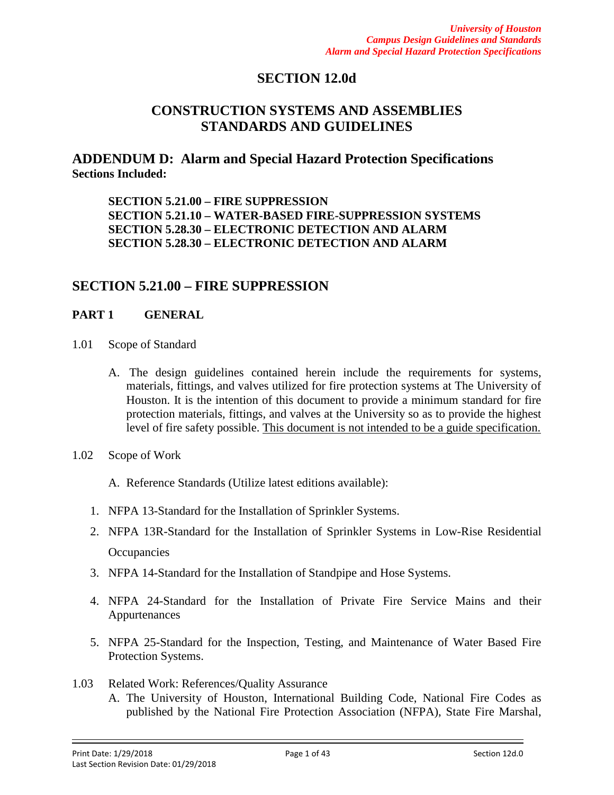## **SECTION 12.0d**

# **CONSTRUCTION SYSTEMS AND ASSEMBLIES STANDARDS AND GUIDELINES**

**ADDENDUM D: Alarm and Special Hazard Protection Specifications Sections Included:** 

**SECTION 5.21.00 – FIRE SUPPRESSION SECTION 5.21.10 – WATER-BASED FIRE-SUPPRESSION SYSTEMS SECTION 5.28.30 – ELECTRONIC DETECTION AND ALARM SECTION 5.28.30 – ELECTRONIC DETECTION AND ALARM**

## **SECTION 5.21.00 – FIRE SUPPRESSION**

### **PART 1 GENERAL**

- 1.01 Scope of Standard
	- A. The design guidelines contained herein include the requirements for systems, materials, fittings, and valves utilized for fire protection systems at The University of Houston. It is the intention of this document to provide a minimum standard for fire protection materials, fittings, and valves at the University so as to provide the highest level of fire safety possible. This document is not intended to be a guide specification.
- 1.02 Scope of Work

A. Reference Standards (Utilize latest editions available):

- 1. NFPA 13-Standard for the Installation of Sprinkler Systems.
- 2. NFPA 13R-Standard for the Installation of Sprinkler Systems in Low-Rise Residential **Occupancies**
- 3. NFPA 14-Standard for the Installation of Standpipe and Hose Systems.
- 4. NFPA 24-Standard for the Installation of Private Fire Service Mains and their Appurtenances
- 5. NFPA 25-Standard for the Inspection, Testing, and Maintenance of Water Based Fire Protection Systems.
- 1.03 Related Work: References/Quality Assurance A. The University of Houston, International Building Code, National Fire Codes as published by the National Fire Protection Association (NFPA), State Fire Marshal,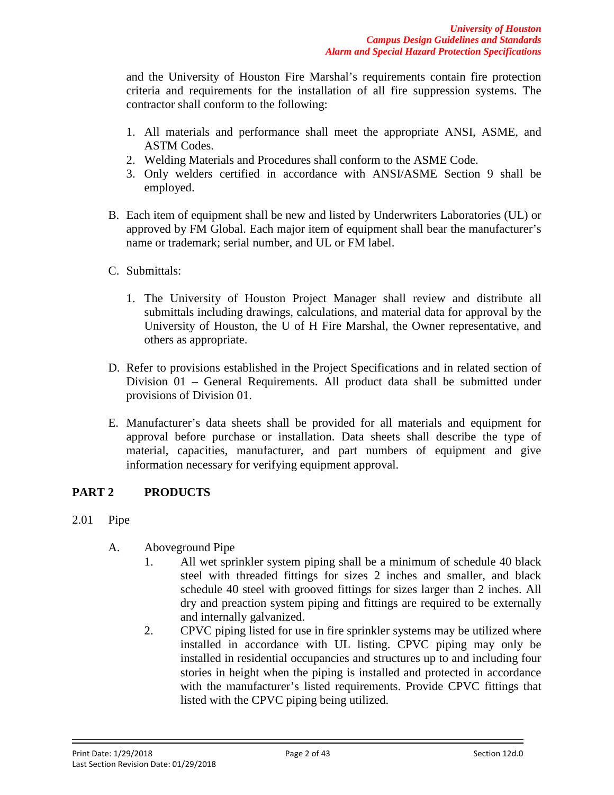and the University of Houston Fire Marshal's requirements contain fire protection criteria and requirements for the installation of all fire suppression systems. The contractor shall conform to the following:

- 1. All materials and performance shall meet the appropriate ANSI, ASME, and ASTM Codes.
- 2. Welding Materials and Procedures shall conform to the ASME Code.
- 3. Only welders certified in accordance with ANSI/ASME Section 9 shall be employed.
- B. Each item of equipment shall be new and listed by Underwriters Laboratories (UL) or approved by FM Global. Each major item of equipment shall bear the manufacturer's name or trademark; serial number, and UL or FM label.
- C. Submittals:
	- 1. The University of Houston Project Manager shall review and distribute all submittals including drawings, calculations, and material data for approval by the University of Houston, the U of H Fire Marshal, the Owner representative, and others as appropriate.
- D. Refer to provisions established in the Project Specifications and in related section of Division 01 – General Requirements. All product data shall be submitted under provisions of Division 01.
- E. Manufacturer's data sheets shall be provided for all materials and equipment for approval before purchase or installation. Data sheets shall describe the type of material, capacities, manufacturer, and part numbers of equipment and give information necessary for verifying equipment approval.

## **PART 2 PRODUCTS**

- 2.01 Pipe
	- A. Aboveground Pipe
		- 1. All wet sprinkler system piping shall be a minimum of schedule 40 black steel with threaded fittings for sizes 2 inches and smaller, and black schedule 40 steel with grooved fittings for sizes larger than 2 inches. All dry and preaction system piping and fittings are required to be externally and internally galvanized.
		- 2. CPVC piping listed for use in fire sprinkler systems may be utilized where installed in accordance with UL listing. CPVC piping may only be installed in residential occupancies and structures up to and including four stories in height when the piping is installed and protected in accordance with the manufacturer's listed requirements. Provide CPVC fittings that listed with the CPVC piping being utilized.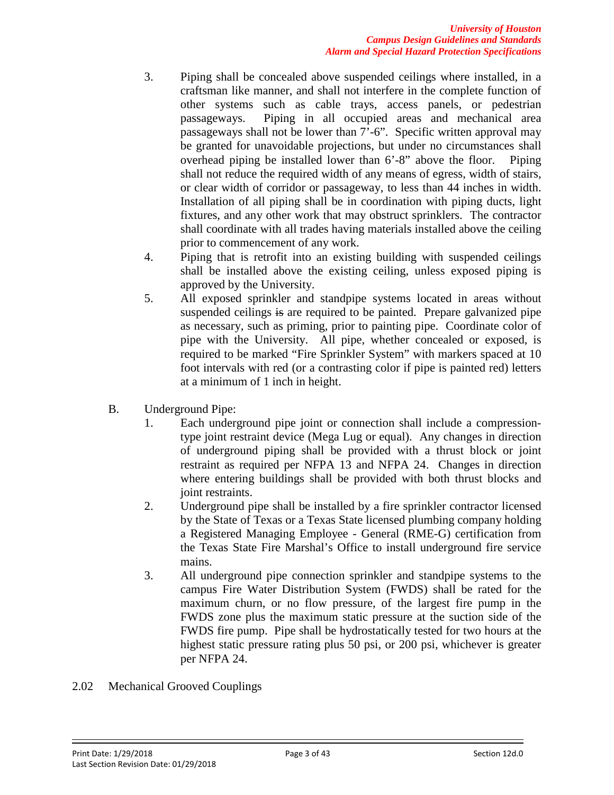- 3. Piping shall be concealed above suspended ceilings where installed, in a craftsman like manner, and shall not interfere in the complete function of other systems such as cable trays, access panels, or pedestrian passageways. Piping in all occupied areas and mechanical area passageways shall not be lower than 7'-6". Specific written approval may be granted for unavoidable projections, but under no circumstances shall overhead piping be installed lower than 6'-8" above the floor. Piping shall not reduce the required width of any means of egress, width of stairs, or clear width of corridor or passageway, to less than 44 inches in width. Installation of all piping shall be in coordination with piping ducts, light fixtures, and any other work that may obstruct sprinklers. The contractor shall coordinate with all trades having materials installed above the ceiling prior to commencement of any work.
- 4. Piping that is retrofit into an existing building with suspended ceilings shall be installed above the existing ceiling, unless exposed piping is approved by the University.
- 5. All exposed sprinkler and standpipe systems located in areas without suspended ceilings is are required to be painted. Prepare galvanized pipe as necessary, such as priming, prior to painting pipe. Coordinate color of pipe with the University. All pipe, whether concealed or exposed, is required to be marked "Fire Sprinkler System" with markers spaced at 10 foot intervals with red (or a contrasting color if pipe is painted red) letters at a minimum of 1 inch in height.
- B. Underground Pipe:
	- 1. Each underground pipe joint or connection shall include a compressiontype joint restraint device (Mega Lug or equal). Any changes in direction of underground piping shall be provided with a thrust block or joint restraint as required per NFPA 13 and NFPA 24. Changes in direction where entering buildings shall be provided with both thrust blocks and joint restraints.
	- 2. Underground pipe shall be installed by a fire sprinkler contractor licensed by the State of Texas or a Texas State licensed plumbing company holding a Registered Managing Employee - General (RME-G) certification from the Texas State Fire Marshal's Office to install underground fire service mains.
	- 3. All underground pipe connection sprinkler and standpipe systems to the campus Fire Water Distribution System (FWDS) shall be rated for the maximum churn, or no flow pressure, of the largest fire pump in the FWDS zone plus the maximum static pressure at the suction side of the FWDS fire pump. Pipe shall be hydrostatically tested for two hours at the highest static pressure rating plus 50 psi, or 200 psi, whichever is greater per NFPA 24.
- 2.02 Mechanical Grooved Couplings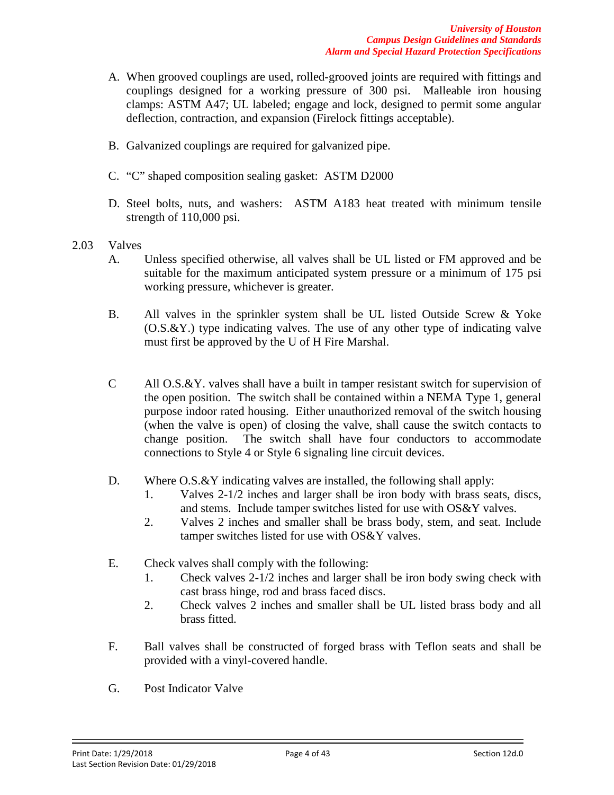- A. When grooved couplings are used, rolled-grooved joints are required with fittings and couplings designed for a working pressure of 300 psi. Malleable iron housing clamps: ASTM A47; UL labeled; engage and lock, designed to permit some angular deflection, contraction, and expansion (Firelock fittings acceptable).
- B. Galvanized couplings are required for galvanized pipe.
- C. "C" shaped composition sealing gasket: ASTM D2000
- D. Steel bolts, nuts, and washers: ASTM A183 heat treated with minimum tensile strength of 110,000 psi.
- 2.03 Valves
	- A. Unless specified otherwise, all valves shall be UL listed or FM approved and be suitable for the maximum anticipated system pressure or a minimum of 175 psi working pressure, whichever is greater.
	- B. All valves in the sprinkler system shall be UL listed Outside Screw & Yoke (O.S.&Y.) type indicating valves. The use of any other type of indicating valve must first be approved by the U of H Fire Marshal.
	- C All O.S.&Y. valves shall have a built in tamper resistant switch for supervision of the open position. The switch shall be contained within a NEMA Type 1, general purpose indoor rated housing. Either unauthorized removal of the switch housing (when the valve is open) of closing the valve, shall cause the switch contacts to change position. The switch shall have four conductors to accommodate connections to Style 4 or Style 6 signaling line circuit devices.
	- D. Where O.S. & Y indicating valves are installed, the following shall apply:
		- 1. Valves 2-1/2 inches and larger shall be iron body with brass seats, discs, and stems. Include tamper switches listed for use with OS&Y valves.
		- 2. Valves 2 inches and smaller shall be brass body, stem, and seat. Include tamper switches listed for use with OS&Y valves.
	- E. Check valves shall comply with the following:
		- 1. Check valves 2-1/2 inches and larger shall be iron body swing check with cast brass hinge, rod and brass faced discs.
		- 2. Check valves 2 inches and smaller shall be UL listed brass body and all brass fitted.
	- F. Ball valves shall be constructed of forged brass with Teflon seats and shall be provided with a vinyl-covered handle.
	- G. Post Indicator Valve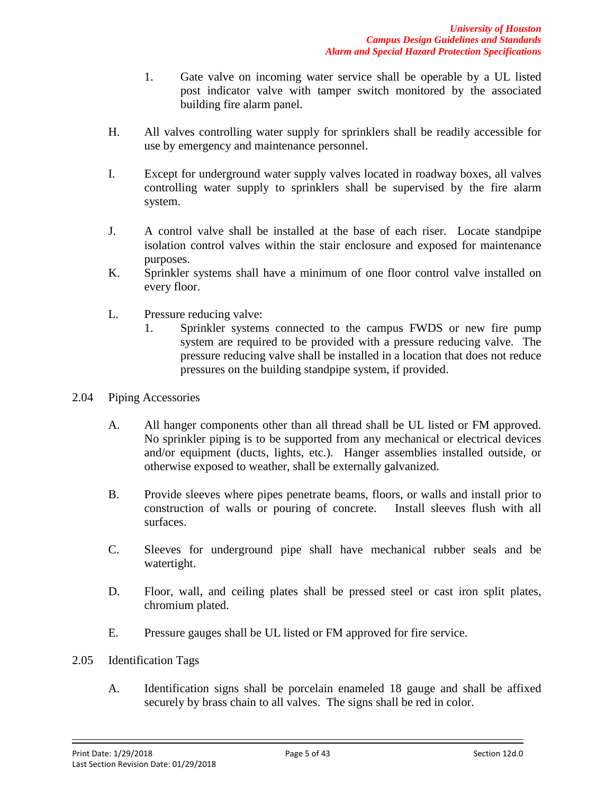- 1. Gate valve on incoming water service shall be operable by a UL listed post indicator valve with tamper switch monitored by the associated building fire alarm panel.
- H. All valves controlling water supply for sprinklers shall be readily accessible for use by emergency and maintenance personnel.
- I. Except for underground water supply valves located in roadway boxes, all valves controlling water supply to sprinklers shall be supervised by the fire alarm system.
- J. A control valve shall be installed at the base of each riser. Locate standpipe isolation control valves within the stair enclosure and exposed for maintenance purposes.
- K. Sprinkler systems shall have a minimum of one floor control valve installed on every floor.
- L. Pressure reducing valve:
	- 1. Sprinkler systems connected to the campus FWDS or new fire pump system are required to be provided with a pressure reducing valve. The pressure reducing valve shall be installed in a location that does not reduce pressures on the building standpipe system, if provided.
- 2.04 Piping Accessories
	- A. All hanger components other than all thread shall be UL listed or FM approved. No sprinkler piping is to be supported from any mechanical or electrical devices and/or equipment (ducts, lights, etc.). Hanger assemblies installed outside, or otherwise exposed to weather, shall be externally galvanized.
	- B. Provide sleeves where pipes penetrate beams, floors, or walls and install prior to construction of walls or pouring of concrete. Install sleeves flush with all surfaces.
	- C. Sleeves for underground pipe shall have mechanical rubber seals and be watertight.
	- D. Floor, wall, and ceiling plates shall be pressed steel or cast iron split plates, chromium plated.
	- E. Pressure gauges shall be UL listed or FM approved for fire service.
- 2.05 Identification Tags
	- A. Identification signs shall be porcelain enameled 18 gauge and shall be affixed securely by brass chain to all valves. The signs shall be red in color.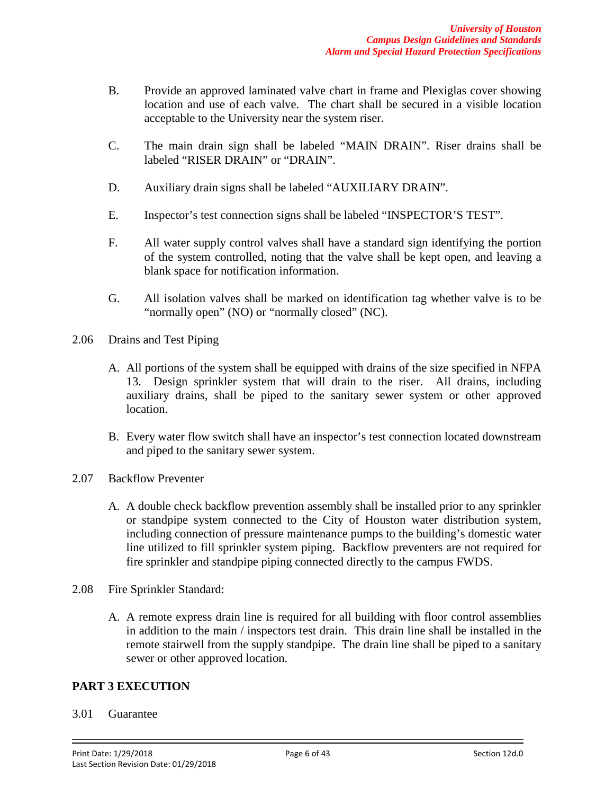- B. Provide an approved laminated valve chart in frame and Plexiglas cover showing location and use of each valve. The chart shall be secured in a visible location acceptable to the University near the system riser.
- C. The main drain sign shall be labeled "MAIN DRAIN". Riser drains shall be labeled "RISER DRAIN" or "DRAIN".
- D. Auxiliary drain signs shall be labeled "AUXILIARY DRAIN".
- E. Inspector's test connection signs shall be labeled "INSPECTOR'S TEST".
- F. All water supply control valves shall have a standard sign identifying the portion of the system controlled, noting that the valve shall be kept open, and leaving a blank space for notification information.
- G. All isolation valves shall be marked on identification tag whether valve is to be "normally open" (NO) or "normally closed" (NC).
- 2.06 Drains and Test Piping
	- A. All portions of the system shall be equipped with drains of the size specified in NFPA 13. Design sprinkler system that will drain to the riser. All drains, including auxiliary drains, shall be piped to the sanitary sewer system or other approved location.
	- B. Every water flow switch shall have an inspector's test connection located downstream and piped to the sanitary sewer system.
- 2.07 Backflow Preventer
	- A. A double check backflow prevention assembly shall be installed prior to any sprinkler or standpipe system connected to the City of Houston water distribution system, including connection of pressure maintenance pumps to the building's domestic water line utilized to fill sprinkler system piping. Backflow preventers are not required for fire sprinkler and standpipe piping connected directly to the campus FWDS.
- 2.08 Fire Sprinkler Standard:
	- A. A remote express drain line is required for all building with floor control assemblies in addition to the main / inspectors test drain. This drain line shall be installed in the remote stairwell from the supply standpipe. The drain line shall be piped to a sanitary sewer or other approved location.

### **PART 3 EXECUTION**

#### 3.01 Guarantee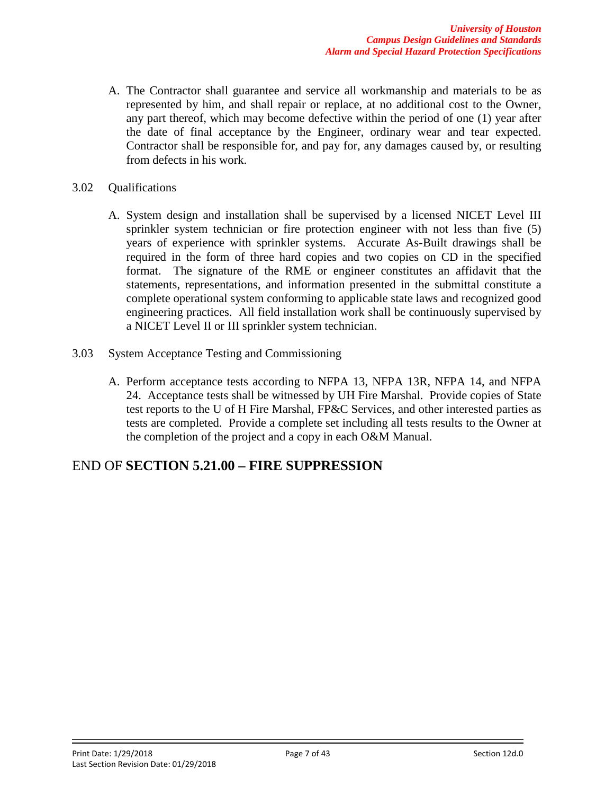- A. The Contractor shall guarantee and service all workmanship and materials to be as represented by him, and shall repair or replace, at no additional cost to the Owner, any part thereof, which may become defective within the period of one (1) year after the date of final acceptance by the Engineer, ordinary wear and tear expected. Contractor shall be responsible for, and pay for, any damages caused by, or resulting from defects in his work.
- 3.02 Qualifications
	- A. System design and installation shall be supervised by a licensed NICET Level III sprinkler system technician or fire protection engineer with not less than five (5) years of experience with sprinkler systems. Accurate As-Built drawings shall be required in the form of three hard copies and two copies on CD in the specified format. The signature of the RME or engineer constitutes an affidavit that the statements, representations, and information presented in the submittal constitute a complete operational system conforming to applicable state laws and recognized good engineering practices. All field installation work shall be continuously supervised by a NICET Level II or III sprinkler system technician.
- 3.03 System Acceptance Testing and Commissioning
	- A. Perform acceptance tests according to NFPA 13, NFPA 13R, NFPA 14, and NFPA 24. Acceptance tests shall be witnessed by UH Fire Marshal. Provide copies of State test reports to the U of H Fire Marshal, FP&C Services, and other interested parties as tests are completed. Provide a complete set including all tests results to the Owner at the completion of the project and a copy in each O&M Manual.

# END OF **SECTION 5.21.00 – FIRE SUPPRESSION**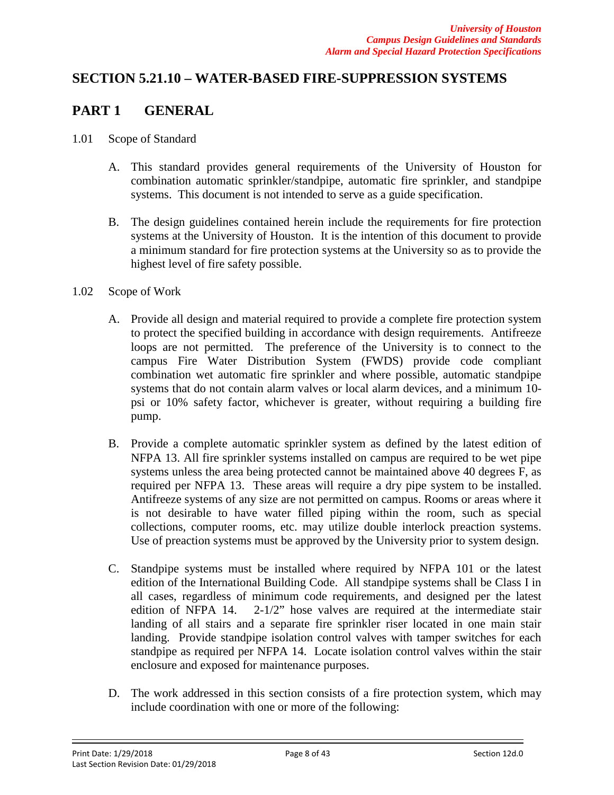# **SECTION 5.21.10 – WATER-BASED FIRE-SUPPRESSION SYSTEMS**

# **PART 1 GENERAL**

- 1.01 Scope of Standard
	- A. This standard provides general requirements of the University of Houston for combination automatic sprinkler/standpipe, automatic fire sprinkler, and standpipe systems. This document is not intended to serve as a guide specification.
	- B. The design guidelines contained herein include the requirements for fire protection systems at the University of Houston. It is the intention of this document to provide a minimum standard for fire protection systems at the University so as to provide the highest level of fire safety possible.
- 1.02 Scope of Work
	- A. Provide all design and material required to provide a complete fire protection system to protect the specified building in accordance with design requirements. Antifreeze loops are not permitted. The preference of the University is to connect to the campus Fire Water Distribution System (FWDS) provide code compliant combination wet automatic fire sprinkler and where possible, automatic standpipe systems that do not contain alarm valves or local alarm devices, and a minimum 10 psi or 10% safety factor, whichever is greater, without requiring a building fire pump.
	- B. Provide a complete automatic sprinkler system as defined by the latest edition of NFPA 13. All fire sprinkler systems installed on campus are required to be wet pipe systems unless the area being protected cannot be maintained above 40 degrees F, as required per NFPA 13. These areas will require a dry pipe system to be installed. Antifreeze systems of any size are not permitted on campus. Rooms or areas where it is not desirable to have water filled piping within the room, such as special collections, computer rooms, etc. may utilize double interlock preaction systems. Use of preaction systems must be approved by the University prior to system design.
	- C. Standpipe systems must be installed where required by NFPA 101 or the latest edition of the International Building Code. All standpipe systems shall be Class I in all cases, regardless of minimum code requirements, and designed per the latest edition of NFPA 14. 2-1/2" hose valves are required at the intermediate stair landing of all stairs and a separate fire sprinkler riser located in one main stair landing. Provide standpipe isolation control valves with tamper switches for each standpipe as required per NFPA 14. Locate isolation control valves within the stair enclosure and exposed for maintenance purposes.
	- D. The work addressed in this section consists of a fire protection system, which may include coordination with one or more of the following: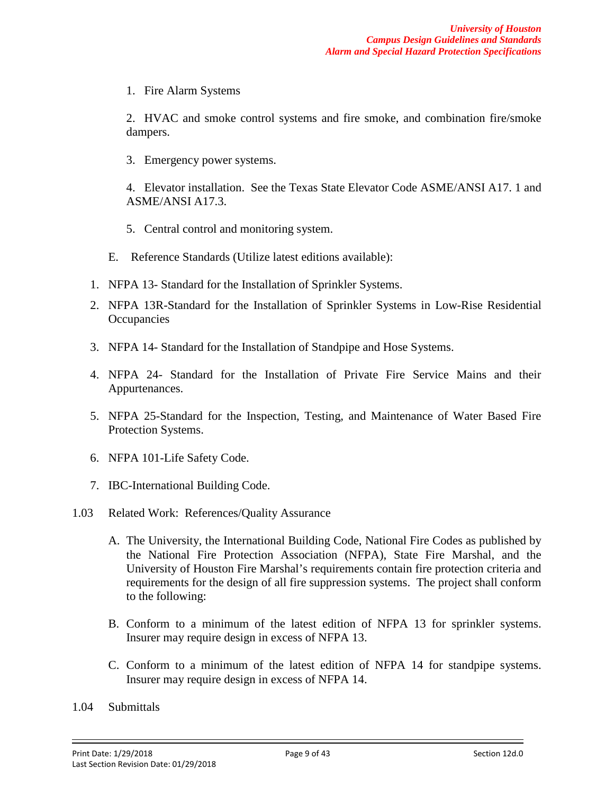1. Fire Alarm Systems

2. HVAC and smoke control systems and fire smoke, and combination fire/smoke dampers.

3. Emergency power systems.

4. Elevator installation. See the Texas State Elevator Code ASME/ANSI A17. 1 and ASME/ANSI A17.3.

- 5. Central control and monitoring system.
- E. Reference Standards (Utilize latest editions available):
- 1. NFPA 13- Standard for the Installation of Sprinkler Systems.
- 2. NFPA 13R-Standard for the Installation of Sprinkler Systems in Low-Rise Residential **Occupancies**
- 3. NFPA 14- Standard for the Installation of Standpipe and Hose Systems.
- 4. NFPA 24- Standard for the Installation of Private Fire Service Mains and their Appurtenances.
- 5. NFPA 25-Standard for the Inspection, Testing, and Maintenance of Water Based Fire Protection Systems.
- 6. NFPA 101-Life Safety Code.
- 7. IBC-International Building Code.
- 1.03 Related Work: References/Quality Assurance
	- A. The University, the International Building Code, National Fire Codes as published by the National Fire Protection Association (NFPA), State Fire Marshal, and the University of Houston Fire Marshal's requirements contain fire protection criteria and requirements for the design of all fire suppression systems. The project shall conform to the following:
	- B. Conform to a minimum of the latest edition of NFPA 13 for sprinkler systems. Insurer may require design in excess of NFPA 13.
	- C. Conform to a minimum of the latest edition of NFPA 14 for standpipe systems. Insurer may require design in excess of NFPA 14.
- 1.04 Submittals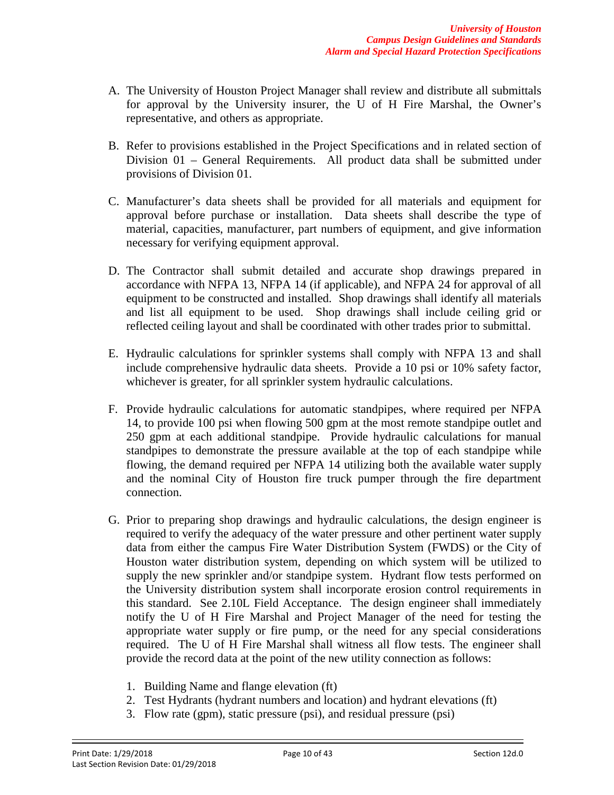- A. The University of Houston Project Manager shall review and distribute all submittals for approval by the University insurer, the U of H Fire Marshal, the Owner's representative, and others as appropriate.
- B. Refer to provisions established in the Project Specifications and in related section of Division 01 – General Requirements. All product data shall be submitted under provisions of Division 01.
- C. Manufacturer's data sheets shall be provided for all materials and equipment for approval before purchase or installation. Data sheets shall describe the type of material, capacities, manufacturer, part numbers of equipment, and give information necessary for verifying equipment approval.
- D. The Contractor shall submit detailed and accurate shop drawings prepared in accordance with NFPA 13, NFPA 14 (if applicable), and NFPA 24 for approval of all equipment to be constructed and installed. Shop drawings shall identify all materials and list all equipment to be used. Shop drawings shall include ceiling grid or reflected ceiling layout and shall be coordinated with other trades prior to submittal.
- E. Hydraulic calculations for sprinkler systems shall comply with NFPA 13 and shall include comprehensive hydraulic data sheets. Provide a 10 psi or 10% safety factor, whichever is greater, for all sprinkler system hydraulic calculations.
- F. Provide hydraulic calculations for automatic standpipes, where required per NFPA 14, to provide 100 psi when flowing 500 gpm at the most remote standpipe outlet and 250 gpm at each additional standpipe. Provide hydraulic calculations for manual standpipes to demonstrate the pressure available at the top of each standpipe while flowing, the demand required per NFPA 14 utilizing both the available water supply and the nominal City of Houston fire truck pumper through the fire department connection.
- G. Prior to preparing shop drawings and hydraulic calculations, the design engineer is required to verify the adequacy of the water pressure and other pertinent water supply data from either the campus Fire Water Distribution System (FWDS) or the City of Houston water distribution system, depending on which system will be utilized to supply the new sprinkler and/or standpipe system. Hydrant flow tests performed on the University distribution system shall incorporate erosion control requirements in this standard. See 2.10L Field Acceptance. The design engineer shall immediately notify the U of H Fire Marshal and Project Manager of the need for testing the appropriate water supply or fire pump, or the need for any special considerations required. The U of H Fire Marshal shall witness all flow tests. The engineer shall provide the record data at the point of the new utility connection as follows:
	- 1. Building Name and flange elevation (ft)
	- 2. Test Hydrants (hydrant numbers and location) and hydrant elevations (ft)
	- 3. Flow rate (gpm), static pressure (psi), and residual pressure (psi)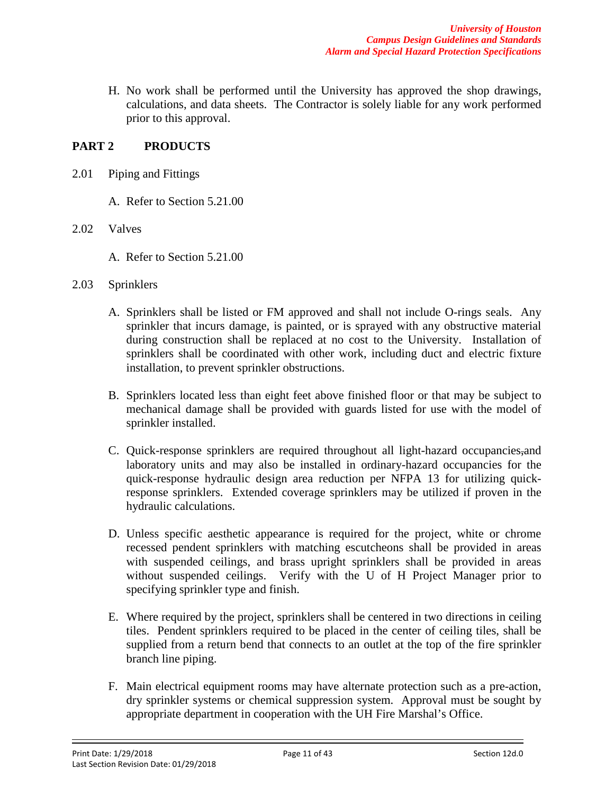H. No work shall be performed until the University has approved the shop drawings, calculations, and data sheets. The Contractor is solely liable for any work performed prior to this approval.

## **PART 2 PRODUCTS**

- 2.01 Piping and Fittings
	- A. Refer to Section 5.21.00
- 2.02 Valves
	- A. Refer to Section 5.21.00
- 2.03 Sprinklers
	- A. Sprinklers shall be listed or FM approved and shall not include O-rings seals. Any sprinkler that incurs damage, is painted, or is sprayed with any obstructive material during construction shall be replaced at no cost to the University. Installation of sprinklers shall be coordinated with other work, including duct and electric fixture installation, to prevent sprinkler obstructions.
	- B. Sprinklers located less than eight feet above finished floor or that may be subject to mechanical damage shall be provided with guards listed for use with the model of sprinkler installed.
	- C. Quick-response sprinklers are required throughout all light-hazard occupancies,and laboratory units and may also be installed in ordinary-hazard occupancies for the quick-response hydraulic design area reduction per NFPA 13 for utilizing quickresponse sprinklers. Extended coverage sprinklers may be utilized if proven in the hydraulic calculations.
	- D. Unless specific aesthetic appearance is required for the project, white or chrome recessed pendent sprinklers with matching escutcheons shall be provided in areas with suspended ceilings, and brass upright sprinklers shall be provided in areas without suspended ceilings. Verify with the U of H Project Manager prior to specifying sprinkler type and finish.
	- E. Where required by the project, sprinklers shall be centered in two directions in ceiling tiles. Pendent sprinklers required to be placed in the center of ceiling tiles, shall be supplied from a return bend that connects to an outlet at the top of the fire sprinkler branch line piping.
	- F. Main electrical equipment rooms may have alternate protection such as a pre-action, dry sprinkler systems or chemical suppression system. Approval must be sought by appropriate department in cooperation with the UH Fire Marshal's Office.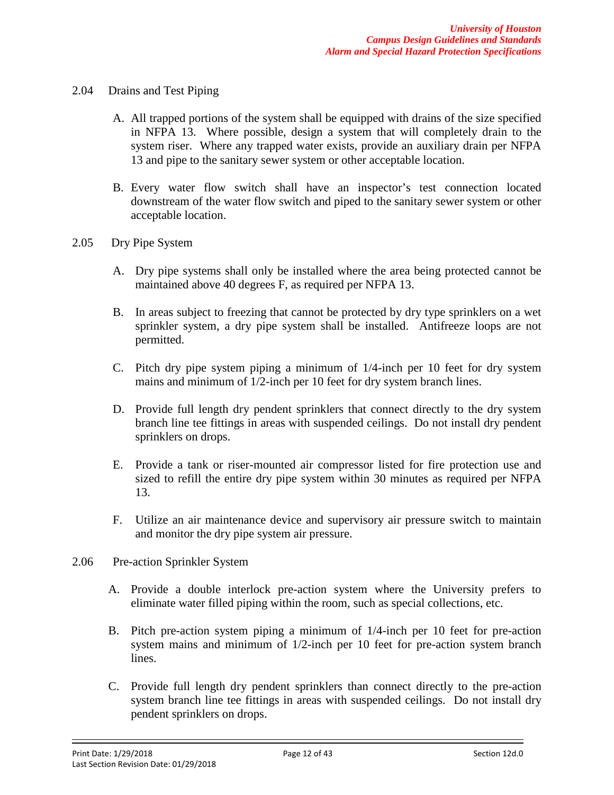- 2.04 Drains and Test Piping
	- A. All trapped portions of the system shall be equipped with drains of the size specified in NFPA 13. Where possible, design a system that will completely drain to the system riser. Where any trapped water exists, provide an auxiliary drain per NFPA 13 and pipe to the sanitary sewer system or other acceptable location.
	- B. Every water flow switch shall have an inspector's test connection located downstream of the water flow switch and piped to the sanitary sewer system or other acceptable location.
- 2.05 Dry Pipe System
	- A. Dry pipe systems shall only be installed where the area being protected cannot be maintained above 40 degrees F, as required per NFPA 13.
	- B. In areas subject to freezing that cannot be protected by dry type sprinklers on a wet sprinkler system, a dry pipe system shall be installed. Antifreeze loops are not permitted.
	- C. Pitch dry pipe system piping a minimum of 1/4-inch per 10 feet for dry system mains and minimum of 1/2-inch per 10 feet for dry system branch lines.
	- D. Provide full length dry pendent sprinklers that connect directly to the dry system branch line tee fittings in areas with suspended ceilings. Do not install dry pendent sprinklers on drops.
	- E. Provide a tank or riser-mounted air compressor listed for fire protection use and sized to refill the entire dry pipe system within 30 minutes as required per NFPA 13.
	- F. Utilize an air maintenance device and supervisory air pressure switch to maintain and monitor the dry pipe system air pressure.
- 2.06 Pre-action Sprinkler System
	- A. Provide a double interlock pre-action system where the University prefers to eliminate water filled piping within the room, such as special collections, etc.
	- B. Pitch pre-action system piping a minimum of 1/4-inch per 10 feet for pre-action system mains and minimum of 1/2-inch per 10 feet for pre-action system branch lines.
	- C. Provide full length dry pendent sprinklers than connect directly to the pre-action system branch line tee fittings in areas with suspended ceilings. Do not install dry pendent sprinklers on drops.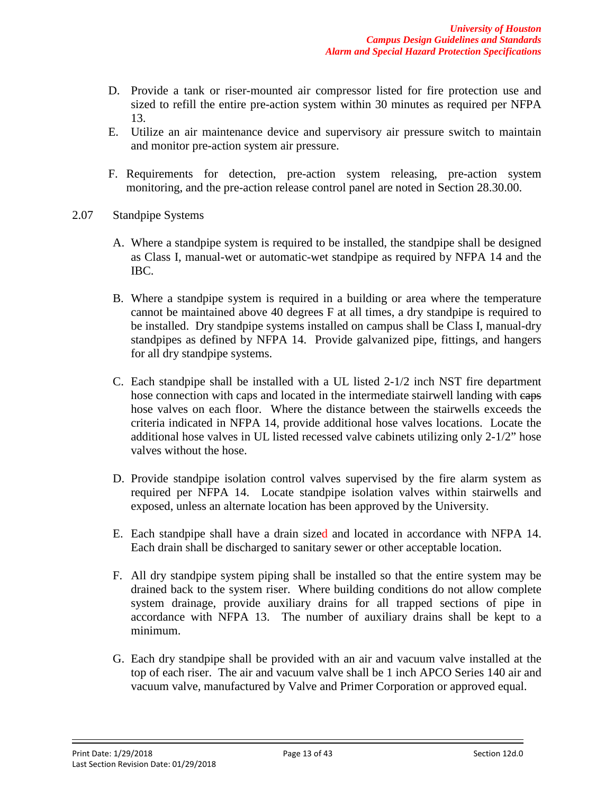- D. Provide a tank or riser-mounted air compressor listed for fire protection use and sized to refill the entire pre-action system within 30 minutes as required per NFPA 13.
- E. Utilize an air maintenance device and supervisory air pressure switch to maintain and monitor pre-action system air pressure.
- F. Requirements for detection, pre-action system releasing, pre-action system monitoring, and the pre-action release control panel are noted in Section 28.30.00.
- 2.07 Standpipe Systems
	- A. Where a standpipe system is required to be installed, the standpipe shall be designed as Class I, manual-wet or automatic-wet standpipe as required by NFPA 14 and the IBC.
	- B. Where a standpipe system is required in a building or area where the temperature cannot be maintained above 40 degrees F at all times, a dry standpipe is required to be installed. Dry standpipe systems installed on campus shall be Class I, manual-dry standpipes as defined by NFPA 14. Provide galvanized pipe, fittings, and hangers for all dry standpipe systems.
	- C. Each standpipe shall be installed with a UL listed 2-1/2 inch NST fire department hose connection with caps and located in the intermediate stairwell landing with eaps hose valves on each floor. Where the distance between the stairwells exceeds the criteria indicated in NFPA 14, provide additional hose valves locations. Locate the additional hose valves in UL listed recessed valve cabinets utilizing only 2-1/2" hose valves without the hose.
	- D. Provide standpipe isolation control valves supervised by the fire alarm system as required per NFPA 14. Locate standpipe isolation valves within stairwells and exposed, unless an alternate location has been approved by the University.
	- E. Each standpipe shall have a drain sized and located in accordance with NFPA 14. Each drain shall be discharged to sanitary sewer or other acceptable location.
	- F. All dry standpipe system piping shall be installed so that the entire system may be drained back to the system riser. Where building conditions do not allow complete system drainage, provide auxiliary drains for all trapped sections of pipe in accordance with NFPA 13. The number of auxiliary drains shall be kept to a minimum.
	- G. Each dry standpipe shall be provided with an air and vacuum valve installed at the top of each riser. The air and vacuum valve shall be 1 inch APCO Series 140 air and vacuum valve, manufactured by Valve and Primer Corporation or approved equal.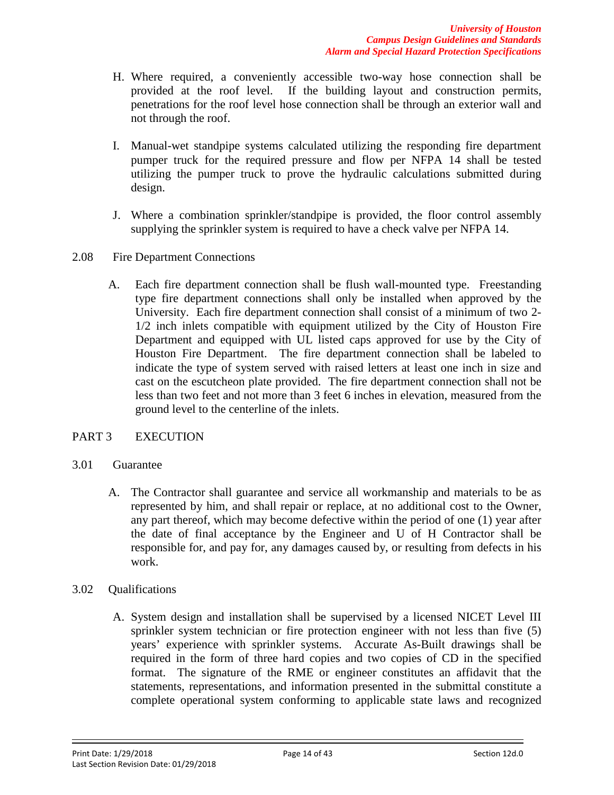- H. Where required, a conveniently accessible two-way hose connection shall be provided at the roof level. If the building layout and construction permits, penetrations for the roof level hose connection shall be through an exterior wall and not through the roof.
- I. Manual-wet standpipe systems calculated utilizing the responding fire department pumper truck for the required pressure and flow per NFPA 14 shall be tested utilizing the pumper truck to prove the hydraulic calculations submitted during design.
- J. Where a combination sprinkler/standpipe is provided, the floor control assembly supplying the sprinkler system is required to have a check valve per NFPA 14.
- 2.08 Fire Department Connections
	- A. Each fire department connection shall be flush wall-mounted type. Freestanding type fire department connections shall only be installed when approved by the University. Each fire department connection shall consist of a minimum of two 2- 1/2 inch inlets compatible with equipment utilized by the City of Houston Fire Department and equipped with UL listed caps approved for use by the City of Houston Fire Department. The fire department connection shall be labeled to indicate the type of system served with raised letters at least one inch in size and cast on the escutcheon plate provided. The fire department connection shall not be less than two feet and not more than 3 feet 6 inches in elevation, measured from the ground level to the centerline of the inlets.

## PART 3 EXECUTION

#### 3.01 Guarantee

- A. The Contractor shall guarantee and service all workmanship and materials to be as represented by him, and shall repair or replace, at no additional cost to the Owner, any part thereof, which may become defective within the period of one (1) year after the date of final acceptance by the Engineer and U of H Contractor shall be responsible for, and pay for, any damages caused by, or resulting from defects in his work.
- 3.02 Qualifications
	- A. System design and installation shall be supervised by a licensed NICET Level III sprinkler system technician or fire protection engineer with not less than five (5) years' experience with sprinkler systems. Accurate As-Built drawings shall be required in the form of three hard copies and two copies of CD in the specified format. The signature of the RME or engineer constitutes an affidavit that the statements, representations, and information presented in the submittal constitute a complete operational system conforming to applicable state laws and recognized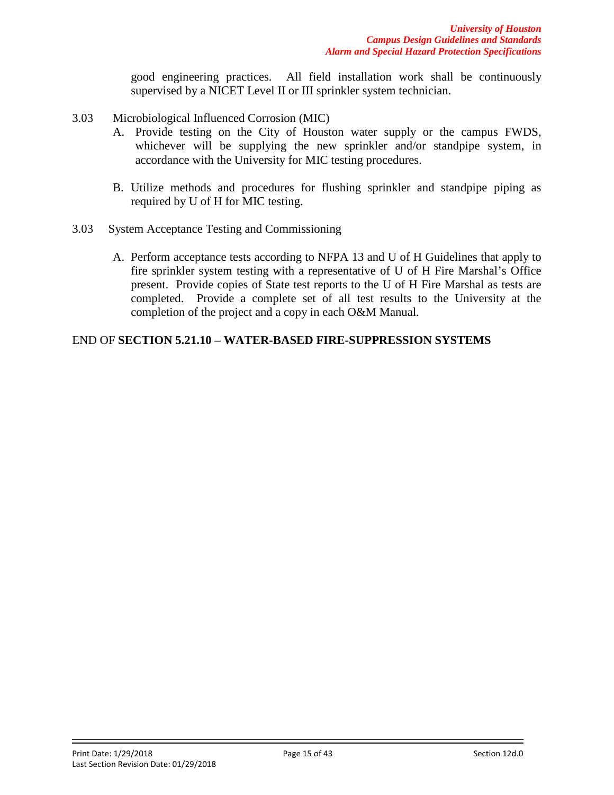good engineering practices. All field installation work shall be continuously supervised by a NICET Level II or III sprinkler system technician.

- 3.03 Microbiological Influenced Corrosion (MIC)
	- A. Provide testing on the City of Houston water supply or the campus FWDS, whichever will be supplying the new sprinkler and/or standpipe system, in accordance with the University for MIC testing procedures.
	- B. Utilize methods and procedures for flushing sprinkler and standpipe piping as required by U of H for MIC testing.
- 3.03 System Acceptance Testing and Commissioning
	- A. Perform acceptance tests according to NFPA 13 and U of H Guidelines that apply to fire sprinkler system testing with a representative of U of H Fire Marshal's Office present. Provide copies of State test reports to the U of H Fire Marshal as tests are completed. Provide a complete set of all test results to the University at the completion of the project and a copy in each O&M Manual.

### END OF **SECTION 5.21.10 – WATER-BASED FIRE-SUPPRESSION SYSTEMS**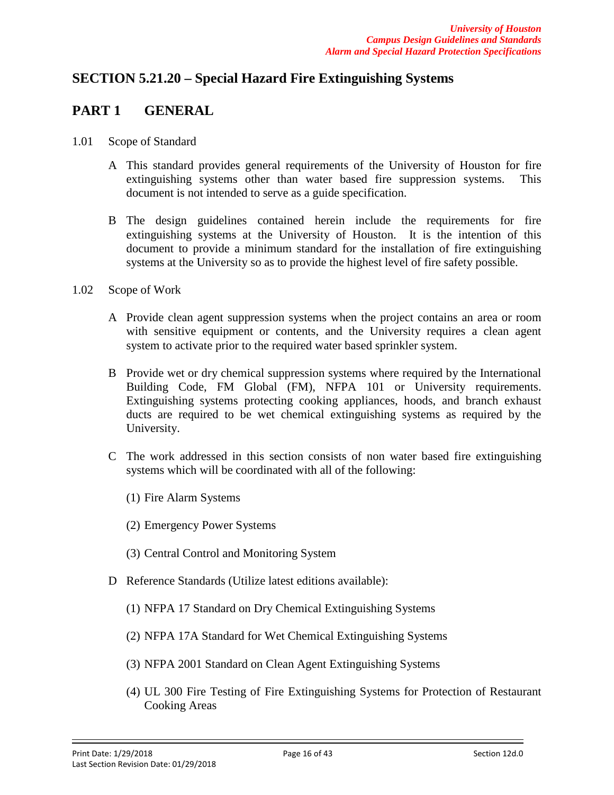# **SECTION 5.21.20 – Special Hazard Fire Extinguishing Systems**

## **PART 1 GENERAL**

- 1.01 Scope of Standard
	- A This standard provides general requirements of the University of Houston for fire extinguishing systems other than water based fire suppression systems. This document is not intended to serve as a guide specification.
	- B The design guidelines contained herein include the requirements for fire extinguishing systems at the University of Houston. It is the intention of this document to provide a minimum standard for the installation of fire extinguishing systems at the University so as to provide the highest level of fire safety possible.
- 1.02 Scope of Work
	- A Provide clean agent suppression systems when the project contains an area or room with sensitive equipment or contents, and the University requires a clean agent system to activate prior to the required water based sprinkler system.
	- B Provide wet or dry chemical suppression systems where required by the International Building Code, FM Global (FM), NFPA 101 or University requirements. Extinguishing systems protecting cooking appliances, hoods, and branch exhaust ducts are required to be wet chemical extinguishing systems as required by the University.
	- C The work addressed in this section consists of non water based fire extinguishing systems which will be coordinated with all of the following:
		- (1) Fire Alarm Systems
		- (2) Emergency Power Systems
		- (3) Central Control and Monitoring System
	- D Reference Standards (Utilize latest editions available):
		- (1) NFPA 17 Standard on Dry Chemical Extinguishing Systems
		- (2) NFPA 17A Standard for Wet Chemical Extinguishing Systems
		- (3) NFPA 2001 Standard on Clean Agent Extinguishing Systems
		- (4) UL 300 Fire Testing of Fire Extinguishing Systems for Protection of Restaurant Cooking Areas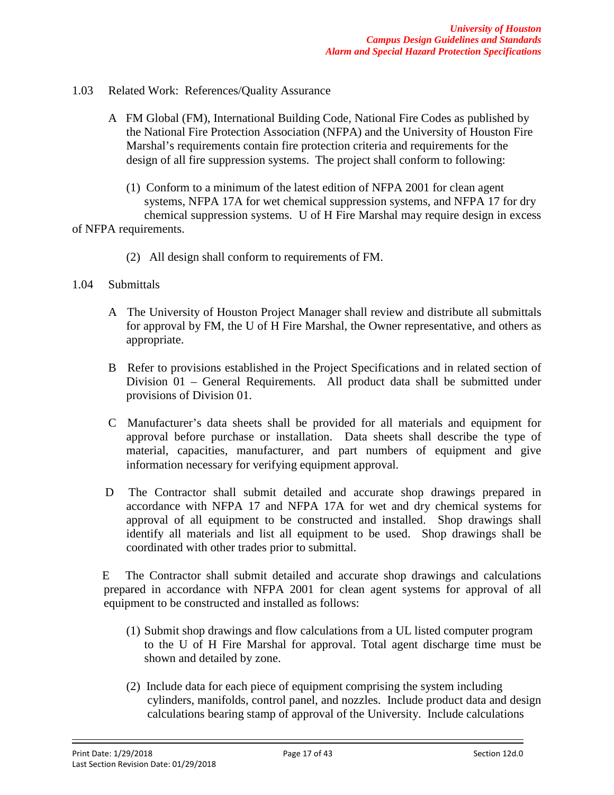- 1.03 Related Work: References/Quality Assurance
	- A FM Global (FM), International Building Code, National Fire Codes as published by the National Fire Protection Association (NFPA) and the University of Houston Fire Marshal's requirements contain fire protection criteria and requirements for the design of all fire suppression systems. The project shall conform to following:
		- (1) Conform to a minimum of the latest edition of NFPA 2001 for clean agent systems, NFPA 17A for wet chemical suppression systems, and NFPA 17 for dry chemical suppression systems. U of H Fire Marshal may require design in excess

of NFPA requirements.

- (2) All design shall conform to requirements of FM.
- 1.04 Submittals
	- A The University of Houston Project Manager shall review and distribute all submittals for approval by FM, the U of H Fire Marshal, the Owner representative, and others as appropriate.
	- B Refer to provisions established in the Project Specifications and in related section of Division 01 – General Requirements. All product data shall be submitted under provisions of Division 01.
	- C Manufacturer's data sheets shall be provided for all materials and equipment for approval before purchase or installation. Data sheets shall describe the type of material, capacities, manufacturer, and part numbers of equipment and give information necessary for verifying equipment approval.
	- D The Contractor shall submit detailed and accurate shop drawings prepared in accordance with NFPA 17 and NFPA 17A for wet and dry chemical systems for approval of all equipment to be constructed and installed. Shop drawings shall identify all materials and list all equipment to be used. Shop drawings shall be coordinated with other trades prior to submittal.

 E The Contractor shall submit detailed and accurate shop drawings and calculations prepared in accordance with NFPA 2001 for clean agent systems for approval of all equipment to be constructed and installed as follows:

- (1) Submit shop drawings and flow calculations from a UL listed computer program to the U of H Fire Marshal for approval. Total agent discharge time must be shown and detailed by zone.
- (2) Include data for each piece of equipment comprising the system including cylinders, manifolds, control panel, and nozzles. Include product data and design calculations bearing stamp of approval of the University. Include calculations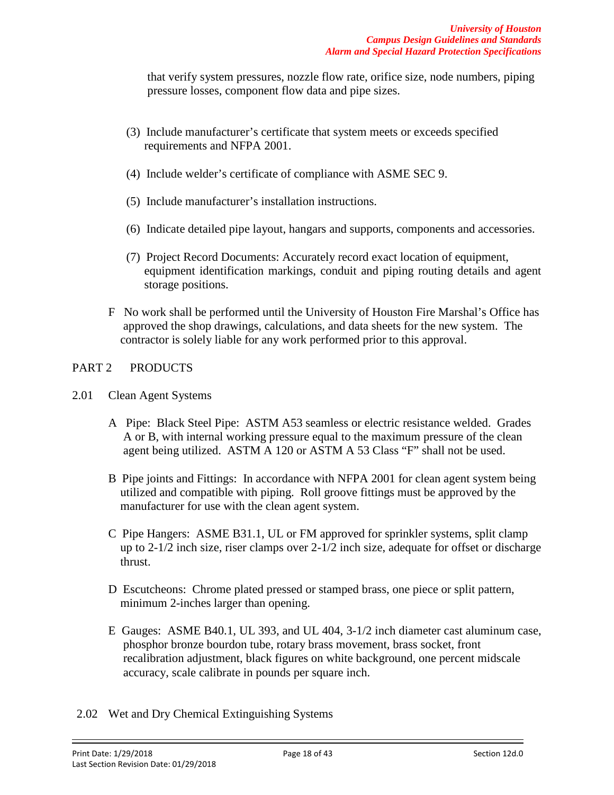that verify system pressures, nozzle flow rate, orifice size, node numbers, piping pressure losses, component flow data and pipe sizes.

- (3) Include manufacturer's certificate that system meets or exceeds specified requirements and NFPA 2001.
- (4) Include welder's certificate of compliance with ASME SEC 9.
- (5) Include manufacturer's installation instructions.
- (6) Indicate detailed pipe layout, hangars and supports, components and accessories.
- (7) Project Record Documents: Accurately record exact location of equipment, equipment identification markings, conduit and piping routing details and agent storage positions.
- F No work shall be performed until the University of Houston Fire Marshal's Office has approved the shop drawings, calculations, and data sheets for the new system. The contractor is solely liable for any work performed prior to this approval.

### PART 2 PRODUCTS

- 2.01 Clean Agent Systems
	- A Pipe: Black Steel Pipe: ASTM A53 seamless or electric resistance welded. Grades A or B, with internal working pressure equal to the maximum pressure of the clean agent being utilized. ASTM A 120 or ASTM A 53 Class "F" shall not be used.
	- B Pipe joints and Fittings: In accordance with NFPA 2001 for clean agent system being utilized and compatible with piping. Roll groove fittings must be approved by the manufacturer for use with the clean agent system.
	- C Pipe Hangers: ASME B31.1, UL or FM approved for sprinkler systems, split clamp up to 2-1/2 inch size, riser clamps over 2-1/2 inch size, adequate for offset or discharge thrust.
	- D Escutcheons: Chrome plated pressed or stamped brass, one piece or split pattern, minimum 2-inches larger than opening.
	- E Gauges: ASME B40.1, UL 393, and UL 404, 3-1/2 inch diameter cast aluminum case, phosphor bronze bourdon tube, rotary brass movement, brass socket, front recalibration adjustment, black figures on white background, one percent midscale accuracy, scale calibrate in pounds per square inch.
- 2.02 Wet and Dry Chemical Extinguishing Systems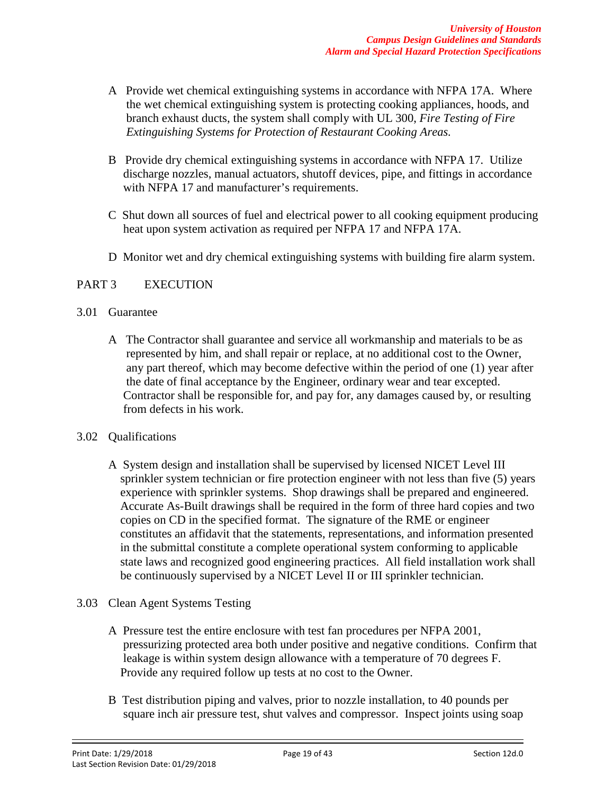- A Provide wet chemical extinguishing systems in accordance with NFPA 17A. Where the wet chemical extinguishing system is protecting cooking appliances, hoods, and branch exhaust ducts, the system shall comply with UL 300, *Fire Testing of Fire Extinguishing Systems for Protection of Restaurant Cooking Areas.*
- B Provide dry chemical extinguishing systems in accordance with NFPA 17. Utilize discharge nozzles, manual actuators, shutoff devices, pipe, and fittings in accordance with NFPA 17 and manufacturer's requirements.
- C Shut down all sources of fuel and electrical power to all cooking equipment producing heat upon system activation as required per NFPA 17 and NFPA 17A.
- D Monitor wet and dry chemical extinguishing systems with building fire alarm system.

## PART 3 EXECUTION

#### 3.01 Guarantee

A The Contractor shall guarantee and service all workmanship and materials to be as represented by him, and shall repair or replace, at no additional cost to the Owner, any part thereof, which may become defective within the period of one (1) year after the date of final acceptance by the Engineer, ordinary wear and tear excepted. Contractor shall be responsible for, and pay for, any damages caused by, or resulting from defects in his work.

#### 3.02 Qualifications

- A System design and installation shall be supervised by licensed NICET Level III sprinkler system technician or fire protection engineer with not less than five (5) years experience with sprinkler systems. Shop drawings shall be prepared and engineered. Accurate As-Built drawings shall be required in the form of three hard copies and two copies on CD in the specified format. The signature of the RME or engineer constitutes an affidavit that the statements, representations, and information presented in the submittal constitute a complete operational system conforming to applicable state laws and recognized good engineering practices. All field installation work shall be continuously supervised by a NICET Level II or III sprinkler technician.
- 3.03 Clean Agent Systems Testing
	- A Pressure test the entire enclosure with test fan procedures per NFPA 2001, pressurizing protected area both under positive and negative conditions. Confirm that leakage is within system design allowance with a temperature of 70 degrees F. Provide any required follow up tests at no cost to the Owner.
	- B Test distribution piping and valves, prior to nozzle installation, to 40 pounds per square inch air pressure test, shut valves and compressor. Inspect joints using soap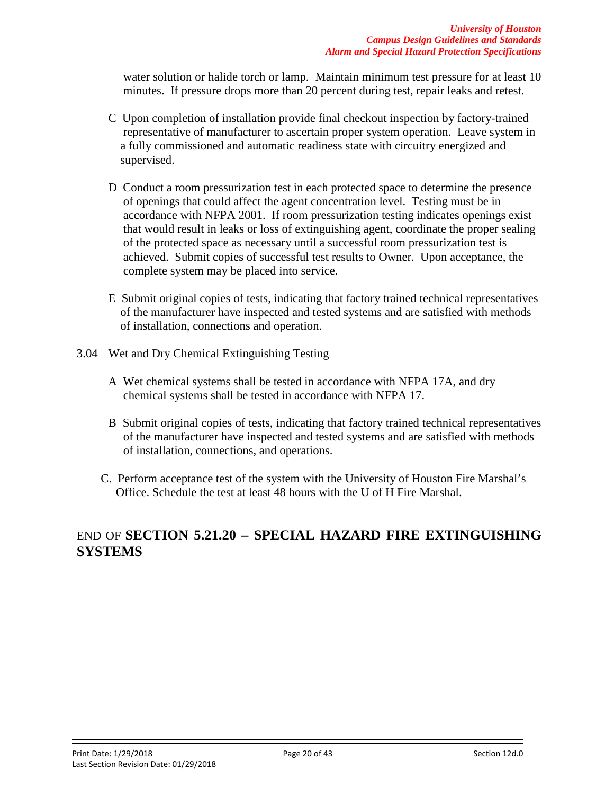water solution or halide torch or lamp. Maintain minimum test pressure for at least 10 minutes. If pressure drops more than 20 percent during test, repair leaks and retest.

- C Upon completion of installation provide final checkout inspection by factory-trained representative of manufacturer to ascertain proper system operation. Leave system in a fully commissioned and automatic readiness state with circuitry energized and supervised.
- D Conduct a room pressurization test in each protected space to determine the presence of openings that could affect the agent concentration level. Testing must be in accordance with NFPA 2001. If room pressurization testing indicates openings exist that would result in leaks or loss of extinguishing agent, coordinate the proper sealing of the protected space as necessary until a successful room pressurization test is achieved. Submit copies of successful test results to Owner. Upon acceptance, the complete system may be placed into service.
- E Submit original copies of tests, indicating that factory trained technical representatives of the manufacturer have inspected and tested systems and are satisfied with methods of installation, connections and operation.
- 3.04 Wet and Dry Chemical Extinguishing Testing
	- A Wet chemical systems shall be tested in accordance with NFPA 17A, and dry chemical systems shall be tested in accordance with NFPA 17.
	- B Submit original copies of tests, indicating that factory trained technical representatives of the manufacturer have inspected and tested systems and are satisfied with methods of installation, connections, and operations.
	- C. Perform acceptance test of the system with the University of Houston Fire Marshal's Office. Schedule the test at least 48 hours with the U of H Fire Marshal.

# END OF **SECTION 5.21.20 – SPECIAL HAZARD FIRE EXTINGUISHING SYSTEMS**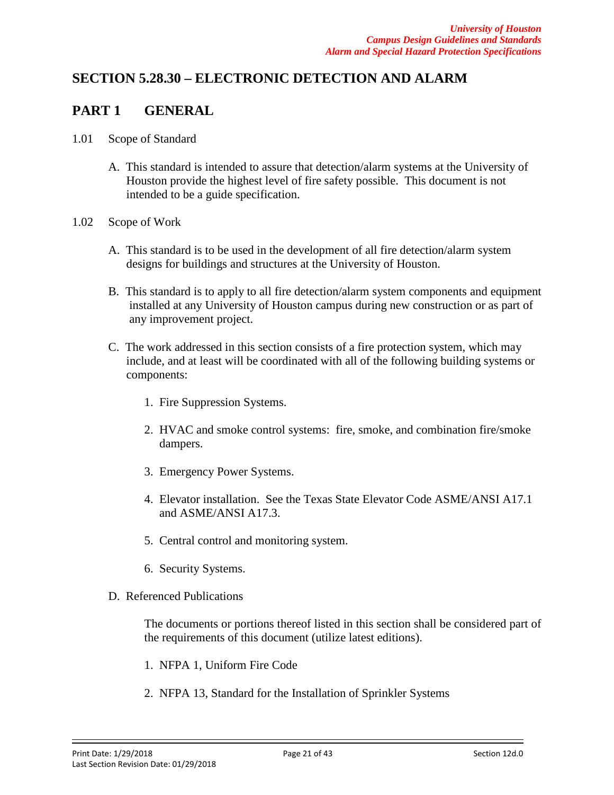# **SECTION 5.28.30 – ELECTRONIC DETECTION AND ALARM**

# **PART 1 GENERAL**

- 1.01 Scope of Standard
	- A. This standard is intended to assure that detection/alarm systems at the University of Houston provide the highest level of fire safety possible. This document is not intended to be a guide specification.
- 1.02 Scope of Work
	- A. This standard is to be used in the development of all fire detection/alarm system designs for buildings and structures at the University of Houston.
	- B. This standard is to apply to all fire detection/alarm system components and equipment installed at any University of Houston campus during new construction or as part of any improvement project.
	- C. The work addressed in this section consists of a fire protection system, which may include, and at least will be coordinated with all of the following building systems or components:
		- 1. Fire Suppression Systems.
		- 2. HVAC and smoke control systems: fire, smoke, and combination fire/smoke dampers.
		- 3. Emergency Power Systems.
		- 4. Elevator installation. See the Texas State Elevator Code ASME/ANSI A17.1 and ASME/ANSI A17.3.
		- 5. Central control and monitoring system.
		- 6. Security Systems.
	- D. Referenced Publications

The documents or portions thereof listed in this section shall be considered part of the requirements of this document (utilize latest editions).

- 1. NFPA 1, Uniform Fire Code
- 2. NFPA 13, Standard for the Installation of Sprinkler Systems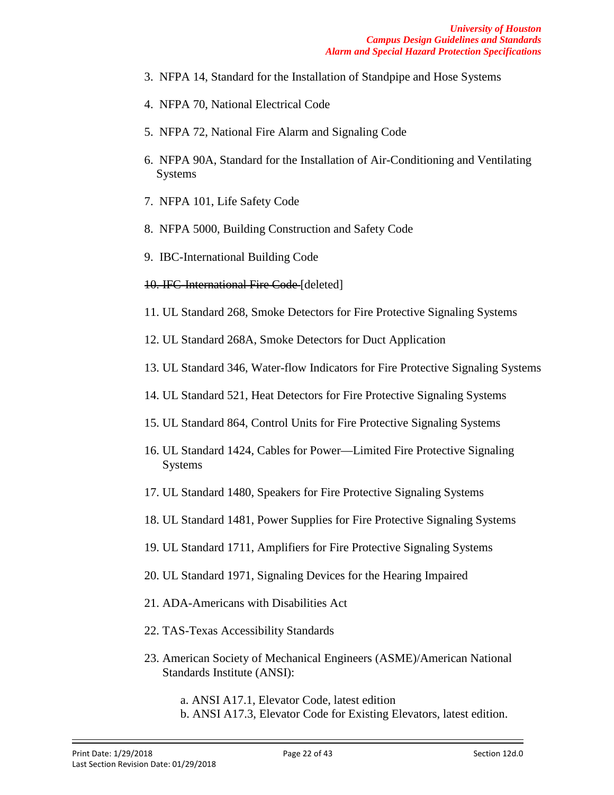- 3. NFPA 14, Standard for the Installation of Standpipe and Hose Systems
- 4. NFPA 70, National Electrical Code
- 5. NFPA 72, National Fire Alarm and Signaling Code
- 6. NFPA 90A, Standard for the Installation of Air-Conditioning and Ventilating Systems
- 7. NFPA 101, Life Safety Code
- 8. NFPA 5000, Building Construction and Safety Code
- 9. IBC-International Building Code
- 10. IFC-International Fire Code [deleted]
- 11. UL Standard 268, Smoke Detectors for Fire Protective Signaling Systems
- 12. UL Standard 268A, Smoke Detectors for Duct Application
- 13. UL Standard 346, Water-flow Indicators for Fire Protective Signaling Systems
- 14. UL Standard 521, Heat Detectors for Fire Protective Signaling Systems
- 15. UL Standard 864, Control Units for Fire Protective Signaling Systems
- 16. UL Standard 1424, Cables for Power—Limited Fire Protective Signaling Systems
- 17. UL Standard 1480, Speakers for Fire Protective Signaling Systems
- 18. UL Standard 1481, Power Supplies for Fire Protective Signaling Systems
- 19. UL Standard 1711, Amplifiers for Fire Protective Signaling Systems
- 20. UL Standard 1971, Signaling Devices for the Hearing Impaired
- 21. ADA-Americans with Disabilities Act
- 22. TAS-Texas Accessibility Standards
- 23. American Society of Mechanical Engineers (ASME)/American National Standards Institute (ANSI):
	- a. ANSI A17.1, Elevator Code, latest edition b. ANSI A17.3, Elevator Code for Existing Elevators, latest edition.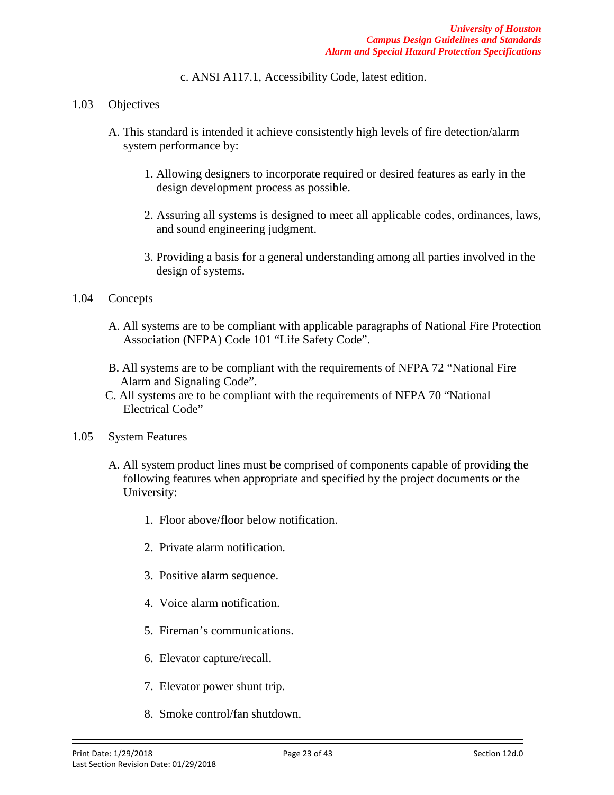c. ANSI A117.1, Accessibility Code, latest edition.

- 1.03 Objectives
	- A. This standard is intended it achieve consistently high levels of fire detection/alarm system performance by:
		- 1. Allowing designers to incorporate required or desired features as early in the design development process as possible.
		- 2. Assuring all systems is designed to meet all applicable codes, ordinances, laws, and sound engineering judgment.
		- 3. Providing a basis for a general understanding among all parties involved in the design of systems.

#### 1.04 Concepts

- A. All systems are to be compliant with applicable paragraphs of National Fire Protection Association (NFPA) Code 101 "Life Safety Code".
- B. All systems are to be compliant with the requirements of NFPA 72 "National Fire Alarm and Signaling Code".
- C. All systems are to be compliant with the requirements of NFPA 70 "National Electrical Code"
- 1.05 System Features
	- A. All system product lines must be comprised of components capable of providing the following features when appropriate and specified by the project documents or the University:
		- 1. Floor above/floor below notification.
		- 2. Private alarm notification.
		- 3. Positive alarm sequence.
		- 4. Voice alarm notification.
		- 5. Fireman's communications.
		- 6. Elevator capture/recall.
		- 7. Elevator power shunt trip.
		- 8. Smoke control/fan shutdown.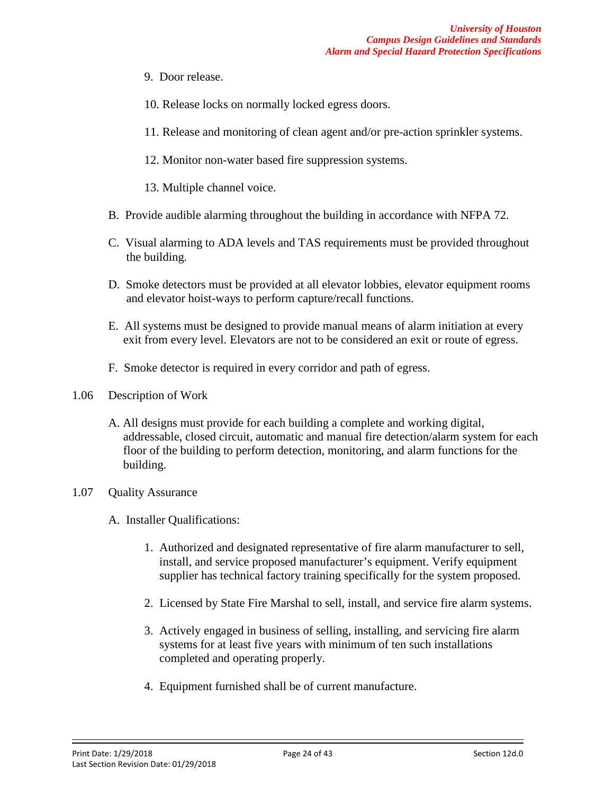- 9. Door release.
- 10. Release locks on normally locked egress doors.
- 11. Release and monitoring of clean agent and/or pre-action sprinkler systems.
- 12. Monitor non-water based fire suppression systems.
- 13. Multiple channel voice.
- B. Provide audible alarming throughout the building in accordance with NFPA 72.
- C. Visual alarming to ADA levels and TAS requirements must be provided throughout the building.
- D. Smoke detectors must be provided at all elevator lobbies, elevator equipment rooms and elevator hoist-ways to perform capture/recall functions.
- E. All systems must be designed to provide manual means of alarm initiation at every exit from every level. Elevators are not to be considered an exit or route of egress.
- F. Smoke detector is required in every corridor and path of egress.
- 1.06 Description of Work
	- A. All designs must provide for each building a complete and working digital, addressable, closed circuit, automatic and manual fire detection/alarm system for each floor of the building to perform detection, monitoring, and alarm functions for the building.
- 1.07 Quality Assurance
	- A. Installer Qualifications:
		- 1. Authorized and designated representative of fire alarm manufacturer to sell, install, and service proposed manufacturer's equipment. Verify equipment supplier has technical factory training specifically for the system proposed.
		- 2. Licensed by State Fire Marshal to sell, install, and service fire alarm systems.
		- 3. Actively engaged in business of selling, installing, and servicing fire alarm systems for at least five years with minimum of ten such installations completed and operating properly.
		- 4. Equipment furnished shall be of current manufacture.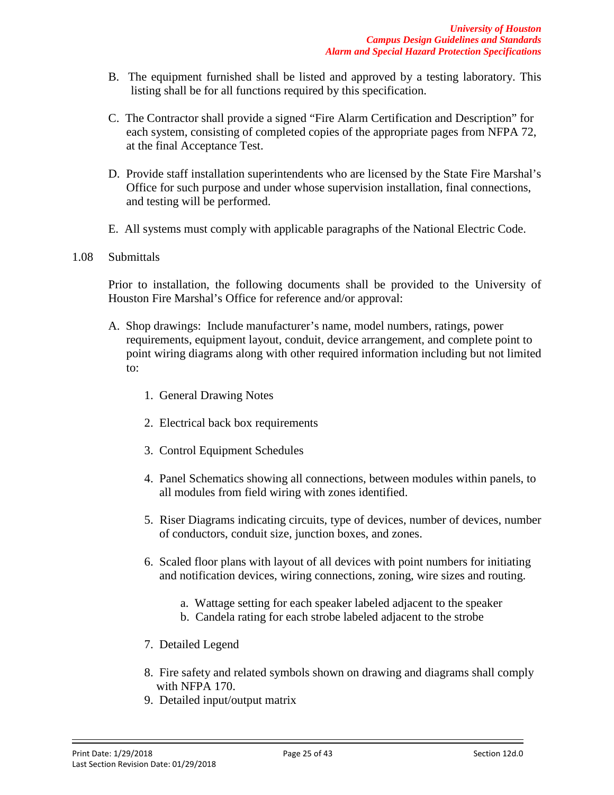- B. The equipment furnished shall be listed and approved by a testing laboratory. This listing shall be for all functions required by this specification.
- C. The Contractor shall provide a signed "Fire Alarm Certification and Description" for each system, consisting of completed copies of the appropriate pages from NFPA 72, at the final Acceptance Test.
- D. Provide staff installation superintendents who are licensed by the State Fire Marshal's Office for such purpose and under whose supervision installation, final connections, and testing will be performed.
- E. All systems must comply with applicable paragraphs of the National Electric Code.

#### 1.08 Submittals

Prior to installation, the following documents shall be provided to the University of Houston Fire Marshal's Office for reference and/or approval:

- A. Shop drawings: Include manufacturer's name, model numbers, ratings, power requirements, equipment layout, conduit, device arrangement, and complete point to point wiring diagrams along with other required information including but not limited to:
	- 1. General Drawing Notes
	- 2. Electrical back box requirements
	- 3. Control Equipment Schedules
	- 4. Panel Schematics showing all connections, between modules within panels, to all modules from field wiring with zones identified.
	- 5. Riser Diagrams indicating circuits, type of devices, number of devices, number of conductors, conduit size, junction boxes, and zones.
	- 6. Scaled floor plans with layout of all devices with point numbers for initiating and notification devices, wiring connections, zoning, wire sizes and routing.
		- a. Wattage setting for each speaker labeled adjacent to the speaker
		- b. Candela rating for each strobe labeled adjacent to the strobe
	- 7. Detailed Legend
	- 8. Fire safety and related symbols shown on drawing and diagrams shall comply with NFPA 170.
	- 9. Detailed input/output matrix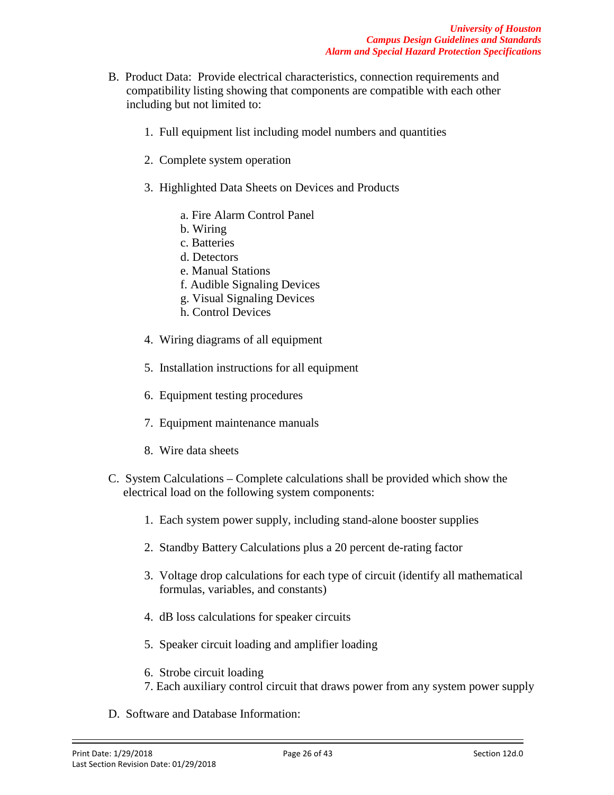- B. Product Data: Provide electrical characteristics, connection requirements and compatibility listing showing that components are compatible with each other including but not limited to:
	- 1. Full equipment list including model numbers and quantities
	- 2. Complete system operation
	- 3. Highlighted Data Sheets on Devices and Products
		- a. Fire Alarm Control Panel
		- b. Wiring
		- c. Batteries
		- d. Detectors
		- e. Manual Stations
		- f. Audible Signaling Devices
		- g. Visual Signaling Devices
		- h. Control Devices
	- 4. Wiring diagrams of all equipment
	- 5. Installation instructions for all equipment
	- 6. Equipment testing procedures
	- 7. Equipment maintenance manuals
	- 8. Wire data sheets
- C. System Calculations Complete calculations shall be provided which show the electrical load on the following system components:
	- 1. Each system power supply, including stand-alone booster supplies
	- 2. Standby Battery Calculations plus a 20 percent de-rating factor
	- 3. Voltage drop calculations for each type of circuit (identify all mathematical formulas, variables, and constants)
	- 4. dB loss calculations for speaker circuits
	- 5. Speaker circuit loading and amplifier loading
	- 6. Strobe circuit loading
	- 7. Each auxiliary control circuit that draws power from any system power supply
- D. Software and Database Information: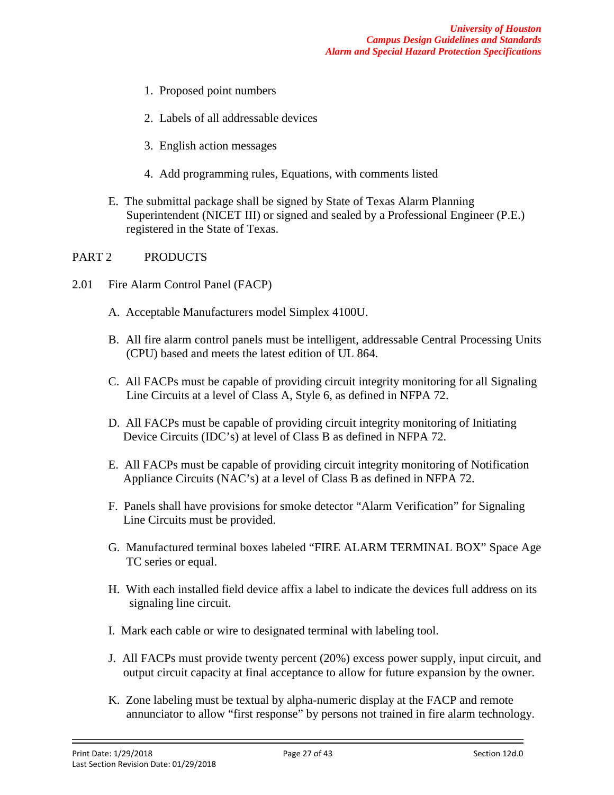- 1. Proposed point numbers
- 2. Labels of all addressable devices
- 3. English action messages
- 4. Add programming rules, Equations, with comments listed
- E. The submittal package shall be signed by State of Texas Alarm Planning Superintendent (NICET III) or signed and sealed by a Professional Engineer (P.E.) registered in the State of Texas.

#### PART 2 PRODUCTS

- 2.01 Fire Alarm Control Panel (FACP)
	- A. Acceptable Manufacturers model Simplex 4100U.
	- B. All fire alarm control panels must be intelligent, addressable Central Processing Units (CPU) based and meets the latest edition of UL 864.
	- C. All FACPs must be capable of providing circuit integrity monitoring for all Signaling Line Circuits at a level of Class A, Style 6, as defined in NFPA 72.
	- D. All FACPs must be capable of providing circuit integrity monitoring of Initiating Device Circuits (IDC's) at level of Class B as defined in NFPA 72.
	- E. All FACPs must be capable of providing circuit integrity monitoring of Notification Appliance Circuits (NAC's) at a level of Class B as defined in NFPA 72.
	- F. Panels shall have provisions for smoke detector "Alarm Verification" for Signaling Line Circuits must be provided.
	- G. Manufactured terminal boxes labeled "FIRE ALARM TERMINAL BOX" Space Age TC series or equal.
	- H. With each installed field device affix a label to indicate the devices full address on its signaling line circuit.
	- I. Mark each cable or wire to designated terminal with labeling tool.
	- J. All FACPs must provide twenty percent (20%) excess power supply, input circuit, and output circuit capacity at final acceptance to allow for future expansion by the owner.
	- K. Zone labeling must be textual by alpha-numeric display at the FACP and remote annunciator to allow "first response" by persons not trained in fire alarm technology.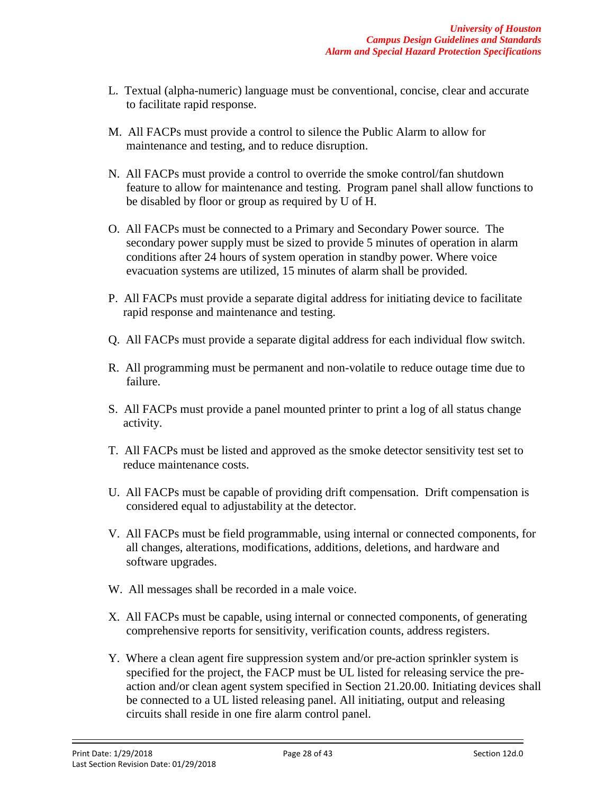- L. Textual (alpha-numeric) language must be conventional, concise, clear and accurate to facilitate rapid response.
- M. All FACPs must provide a control to silence the Public Alarm to allow for maintenance and testing, and to reduce disruption.
- N. All FACPs must provide a control to override the smoke control/fan shutdown feature to allow for maintenance and testing. Program panel shall allow functions to be disabled by floor or group as required by U of H.
- O. All FACPs must be connected to a Primary and Secondary Power source. The secondary power supply must be sized to provide 5 minutes of operation in alarm conditions after 24 hours of system operation in standby power. Where voice evacuation systems are utilized, 15 minutes of alarm shall be provided.
- P. All FACPs must provide a separate digital address for initiating device to facilitate rapid response and maintenance and testing.
- Q. All FACPs must provide a separate digital address for each individual flow switch.
- R. All programming must be permanent and non-volatile to reduce outage time due to failure.
- S. All FACPs must provide a panel mounted printer to print a log of all status change activity.
- T. All FACPs must be listed and approved as the smoke detector sensitivity test set to reduce maintenance costs.
- U. All FACPs must be capable of providing drift compensation. Drift compensation is considered equal to adjustability at the detector.
- V. All FACPs must be field programmable, using internal or connected components, for all changes, alterations, modifications, additions, deletions, and hardware and software upgrades.
- W. All messages shall be recorded in a male voice.
- X. All FACPs must be capable, using internal or connected components, of generating comprehensive reports for sensitivity, verification counts, address registers.
- Y. Where a clean agent fire suppression system and/or pre-action sprinkler system is specified for the project, the FACP must be UL listed for releasing service the pre action and/or clean agent system specified in Section 21.20.00. Initiating devices shall be connected to a UL listed releasing panel. All initiating, output and releasing circuits shall reside in one fire alarm control panel.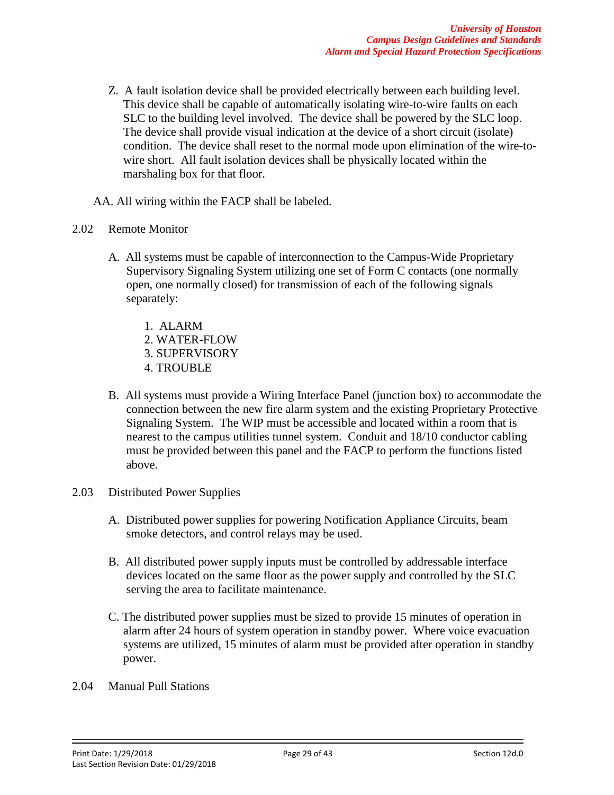- Z. A fault isolation device shall be provided electrically between each building level. This device shall be capable of automatically isolating wire-to-wire faults on each SLC to the building level involved. The device shall be powered by the SLC loop. The device shall provide visual indication at the device of a short circuit (isolate) condition. The device shall reset to the normal mode upon elimination of the wire-to wire short. All fault isolation devices shall be physically located within the marshaling box for that floor.
- AA. All wiring within the FACP shall be labeled.
- 2.02 Remote Monitor
	- A. All systems must be capable of interconnection to the Campus-Wide Proprietary Supervisory Signaling System utilizing one set of Form C contacts (one normally open, one normally closed) for transmission of each of the following signals separately:
		- 1. ALARM
		- 2. WATER-FLOW
		- 3. SUPERVISORY
		- 4. TROUBLE
	- B. All systems must provide a Wiring Interface Panel (junction box) to accommodate the connection between the new fire alarm system and the existing Proprietary Protective Signaling System. The WIP must be accessible and located within a room that is nearest to the campus utilities tunnel system. Conduit and 18/10 conductor cabling must be provided between this panel and the FACP to perform the functions listed above.
- 2.03 Distributed Power Supplies
	- A. Distributed power supplies for powering Notification Appliance Circuits, beam smoke detectors, and control relays may be used.
	- B. All distributed power supply inputs must be controlled by addressable interface devices located on the same floor as the power supply and controlled by the SLC serving the area to facilitate maintenance.
	- C. The distributed power supplies must be sized to provide 15 minutes of operation in alarm after 24 hours of system operation in standby power. Where voice evacuation systems are utilized, 15 minutes of alarm must be provided after operation in standby power.
- 2.04 Manual Pull Stations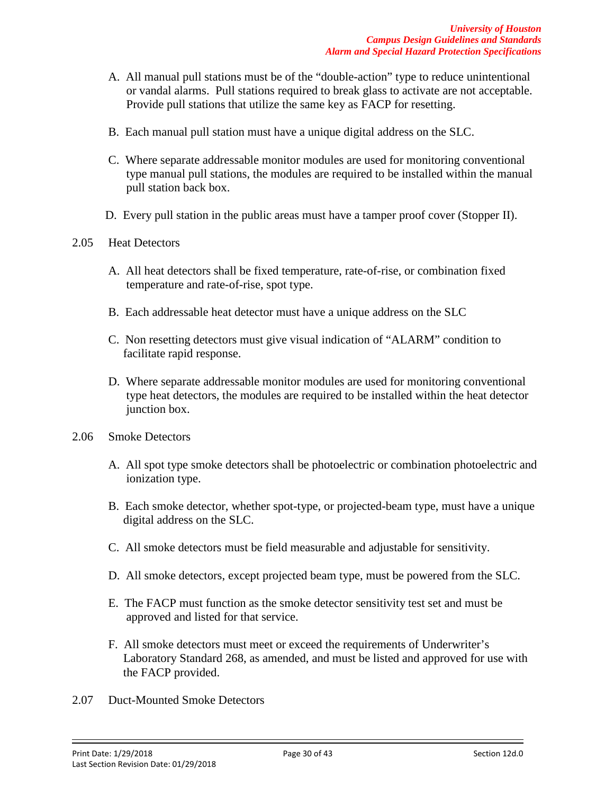- A. All manual pull stations must be of the "double-action" type to reduce unintentional or vandal alarms. Pull stations required to break glass to activate are not acceptable. Provide pull stations that utilize the same key as FACP for resetting.
- B. Each manual pull station must have a unique digital address on the SLC.
- C. Where separate addressable monitor modules are used for monitoring conventional type manual pull stations, the modules are required to be installed within the manual pull station back box.
- D. Every pull station in the public areas must have a tamper proof cover (Stopper II).

#### 2.05 Heat Detectors

- A. All heat detectors shall be fixed temperature, rate-of-rise, or combination fixed temperature and rate-of-rise, spot type.
- B. Each addressable heat detector must have a unique address on the SLC
- C. Non resetting detectors must give visual indication of "ALARM" condition to facilitate rapid response.
- D. Where separate addressable monitor modules are used for monitoring conventional type heat detectors, the modules are required to be installed within the heat detector junction box.
- 2.06 Smoke Detectors
	- A. All spot type smoke detectors shall be photoelectric or combination photoelectric and ionization type.
	- B. Each smoke detector, whether spot-type, or projected-beam type, must have a unique digital address on the SLC.
	- C. All smoke detectors must be field measurable and adjustable for sensitivity.
	- D. All smoke detectors, except projected beam type, must be powered from the SLC.
	- E. The FACP must function as the smoke detector sensitivity test set and must be approved and listed for that service.
	- F. All smoke detectors must meet or exceed the requirements of Underwriter's Laboratory Standard 268, as amended, and must be listed and approved for use with the FACP provided.
- 2.07 Duct-Mounted Smoke Detectors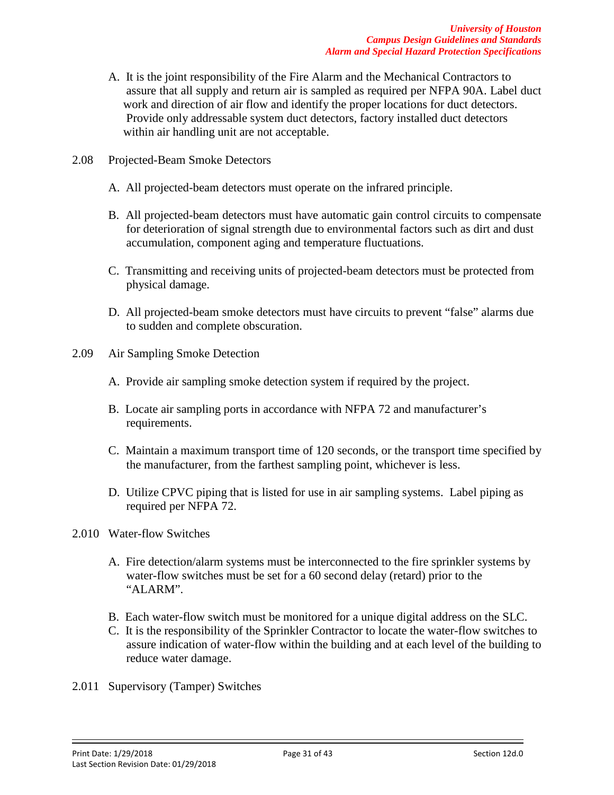- A. It is the joint responsibility of the Fire Alarm and the Mechanical Contractors to assure that all supply and return air is sampled as required per NFPA 90A. Label duct work and direction of air flow and identify the proper locations for duct detectors. Provide only addressable system duct detectors, factory installed duct detectors within air handling unit are not acceptable.
- 2.08 Projected-Beam Smoke Detectors
	- A. All projected-beam detectors must operate on the infrared principle.
	- B. All projected-beam detectors must have automatic gain control circuits to compensate for deterioration of signal strength due to environmental factors such as dirt and dust accumulation, component aging and temperature fluctuations.
	- C. Transmitting and receiving units of projected-beam detectors must be protected from physical damage.
	- D. All projected-beam smoke detectors must have circuits to prevent "false" alarms due to sudden and complete obscuration.
- 2.09 Air Sampling Smoke Detection
	- A. Provide air sampling smoke detection system if required by the project.
	- B. Locate air sampling ports in accordance with NFPA 72 and manufacturer's requirements.
	- C. Maintain a maximum transport time of 120 seconds, or the transport time specified by the manufacturer, from the farthest sampling point, whichever is less.
	- D. Utilize CPVC piping that is listed for use in air sampling systems. Label piping as required per NFPA 72.
- 2.010 Water-flow Switches
	- A. Fire detection/alarm systems must be interconnected to the fire sprinkler systems by water-flow switches must be set for a 60 second delay (retard) prior to the "ALARM".
	- B. Each water-flow switch must be monitored for a unique digital address on the SLC.
	- C. It is the responsibility of the Sprinkler Contractor to locate the water-flow switches to assure indication of water-flow within the building and at each level of the building to reduce water damage.
- 2.011 Supervisory (Tamper) Switches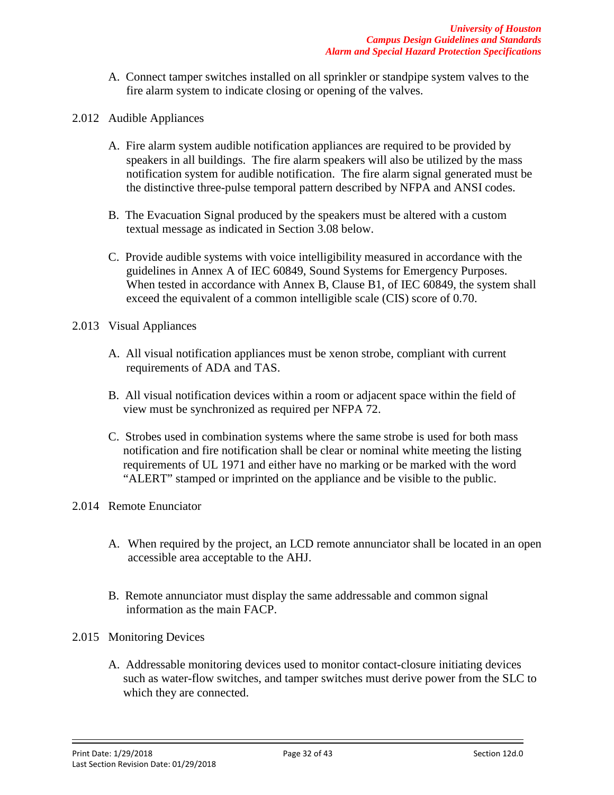- A. Connect tamper switches installed on all sprinkler or standpipe system valves to the fire alarm system to indicate closing or opening of the valves.
- 2.012 Audible Appliances
	- A. Fire alarm system audible notification appliances are required to be provided by speakers in all buildings. The fire alarm speakers will also be utilized by the mass notification system for audible notification. The fire alarm signal generated must be the distinctive three-pulse temporal pattern described by NFPA and ANSI codes.
	- B. The Evacuation Signal produced by the speakers must be altered with a custom textual message as indicated in Section 3.08 below.
	- C. Provide audible systems with voice intelligibility measured in accordance with the guidelines in Annex A of IEC 60849, Sound Systems for Emergency Purposes. When tested in accordance with Annex B, Clause B1, of IEC 60849, the system shall exceed the equivalent of a common intelligible scale (CIS) score of 0.70.
- 2.013 Visual Appliances
	- A. All visual notification appliances must be xenon strobe, compliant with current requirements of ADA and TAS.
	- B. All visual notification devices within a room or adjacent space within the field of view must be synchronized as required per NFPA 72.
	- C. Strobes used in combination systems where the same strobe is used for both mass notification and fire notification shall be clear or nominal white meeting the listing requirements of UL 1971 and either have no marking or be marked with the word "ALERT" stamped or imprinted on the appliance and be visible to the public.
- 2.014 Remote Enunciator
	- A. When required by the project, an LCD remote annunciator shall be located in an open accessible area acceptable to the AHJ.
	- B. Remote annunciator must display the same addressable and common signal information as the main FACP.
- 2.015 Monitoring Devices
	- A. Addressable monitoring devices used to monitor contact-closure initiating devices such as water-flow switches, and tamper switches must derive power from the SLC to which they are connected.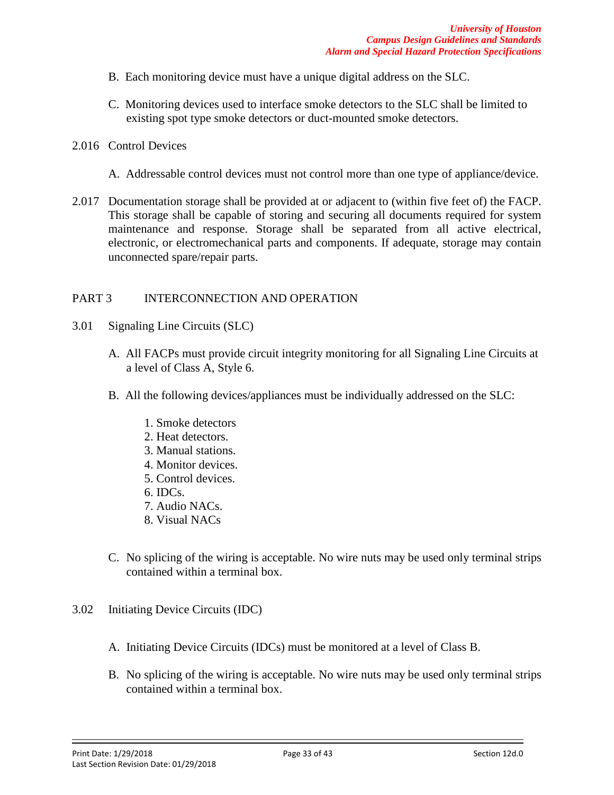- B. Each monitoring device must have a unique digital address on the SLC.
- C. Monitoring devices used to interface smoke detectors to the SLC shall be limited to existing spot type smoke detectors or duct-mounted smoke detectors.
- 2.016 Control Devices
	- A. Addressable control devices must not control more than one type of appliance/device.
- 2.017 Documentation storage shall be provided at or adjacent to (within five feet of) the FACP. This storage shall be capable of storing and securing all documents required for system maintenance and response. Storage shall be separated from all active electrical, electronic, or electromechanical parts and components. If adequate, storage may contain unconnected spare/repair parts.

#### PART 3 INTERCONNECTION AND OPERATION

- 3.01 Signaling Line Circuits (SLC)
	- A. All FACPs must provide circuit integrity monitoring for all Signaling Line Circuits at a level of Class A, Style 6.
	- B. All the following devices/appliances must be individually addressed on the SLC:
		- 1. Smoke detectors
		- 2. Heat detectors.
		- 3. Manual stations.
		- 4. Monitor devices.
		- 5. Control devices.
		- 6. IDCs.
		- 7. Audio NACs.
		- 8. Visual NACs
	- C. No splicing of the wiring is acceptable. No wire nuts may be used only terminal strips contained within a terminal box.
- 3.02 Initiating Device Circuits (IDC)
	- A. Initiating Device Circuits (IDCs) must be monitored at a level of Class B.
	- B. No splicing of the wiring is acceptable. No wire nuts may be used only terminal strips contained within a terminal box.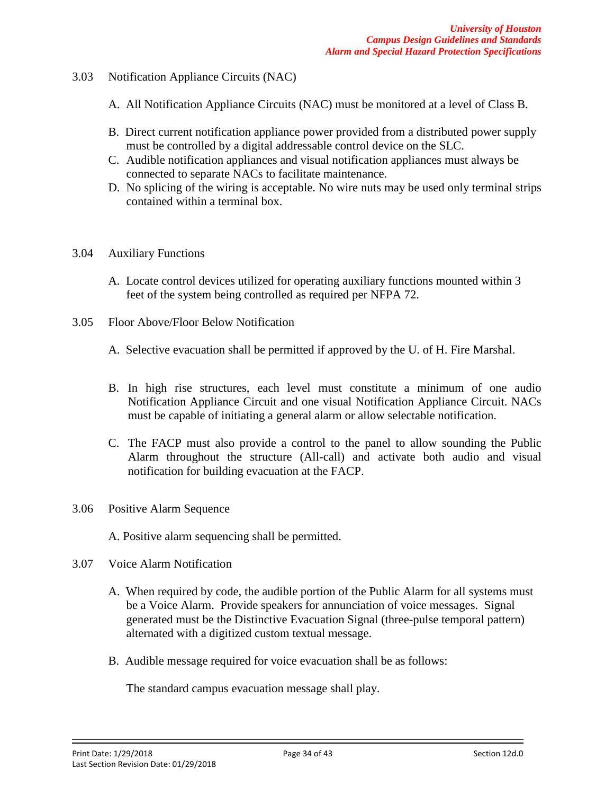- 3.03 Notification Appliance Circuits (NAC)
	- A. All Notification Appliance Circuits (NAC) must be monitored at a level of Class B.
	- B. Direct current notification appliance power provided from a distributed power supply must be controlled by a digital addressable control device on the SLC.
	- C. Audible notification appliances and visual notification appliances must always be connected to separate NACs to facilitate maintenance.
	- D. No splicing of the wiring is acceptable. No wire nuts may be used only terminal strips contained within a terminal box.
- 3.04 Auxiliary Functions
	- A. Locate control devices utilized for operating auxiliary functions mounted within 3 feet of the system being controlled as required per NFPA 72.
- 3.05 Floor Above/Floor Below Notification
	- A. Selective evacuation shall be permitted if approved by the U. of H. Fire Marshal.
	- B. In high rise structures, each level must constitute a minimum of one audio Notification Appliance Circuit and one visual Notification Appliance Circuit. NACs must be capable of initiating a general alarm or allow selectable notification.
	- C. The FACP must also provide a control to the panel to allow sounding the Public Alarm throughout the structure (All-call) and activate both audio and visual notification for building evacuation at the FACP.
- 3.06 Positive Alarm Sequence
	- A. Positive alarm sequencing shall be permitted.
- 3.07 Voice Alarm Notification
	- A. When required by code, the audible portion of the Public Alarm for all systems must be a Voice Alarm. Provide speakers for annunciation of voice messages. Signal generated must be the Distinctive Evacuation Signal (three-pulse temporal pattern) alternated with a digitized custom textual message.
	- B. Audible message required for voice evacuation shall be as follows:

The standard campus evacuation message shall play.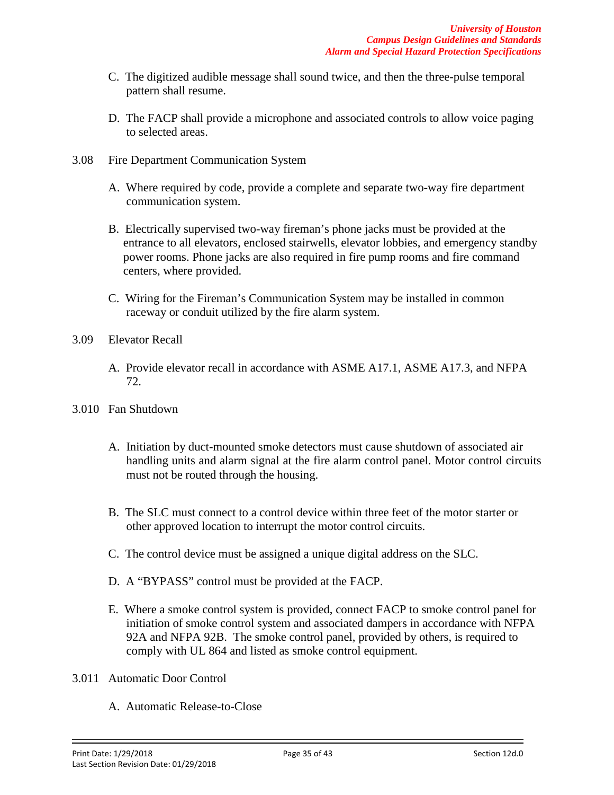- C. The digitized audible message shall sound twice, and then the three-pulse temporal pattern shall resume.
- D. The FACP shall provide a microphone and associated controls to allow voice paging to selected areas.
- 3.08 Fire Department Communication System
	- A. Where required by code, provide a complete and separate two-way fire department communication system.
	- B. Electrically supervised two-way fireman's phone jacks must be provided at the entrance to all elevators, enclosed stairwells, elevator lobbies, and emergency standby power rooms. Phone jacks are also required in fire pump rooms and fire command centers, where provided.
	- C. Wiring for the Fireman's Communication System may be installed in common raceway or conduit utilized by the fire alarm system.
- 3.09 Elevator Recall
	- A. Provide elevator recall in accordance with ASME A17.1, ASME A17.3, and NFPA 72.
- 3.010 Fan Shutdown
	- A. Initiation by duct-mounted smoke detectors must cause shutdown of associated air handling units and alarm signal at the fire alarm control panel. Motor control circuits must not be routed through the housing.
	- B. The SLC must connect to a control device within three feet of the motor starter or other approved location to interrupt the motor control circuits.
	- C. The control device must be assigned a unique digital address on the SLC.
	- D. A "BYPASS" control must be provided at the FACP.
	- E. Where a smoke control system is provided, connect FACP to smoke control panel for initiation of smoke control system and associated dampers in accordance with NFPA 92A and NFPA 92B. The smoke control panel, provided by others, is required to comply with UL 864 and listed as smoke control equipment.
- 3.011 Automatic Door Control
	- A. Automatic Release-to-Close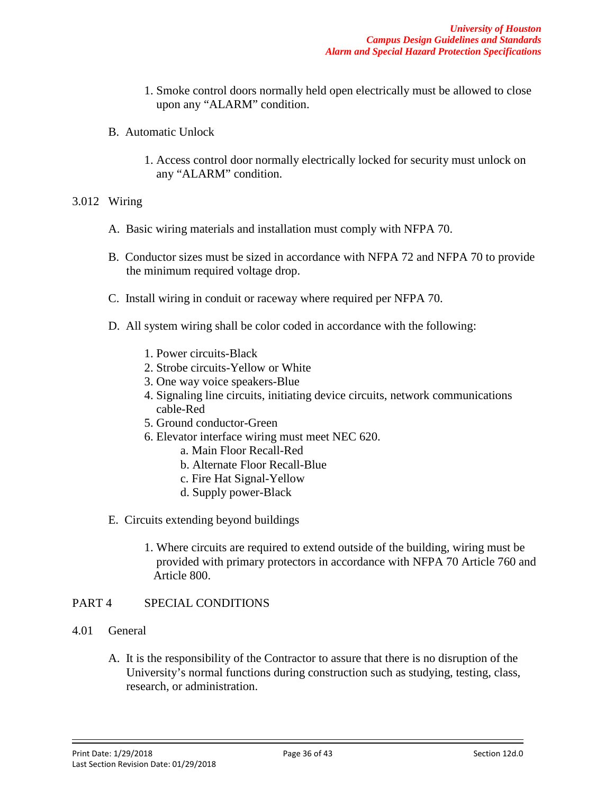- 1. Smoke control doors normally held open electrically must be allowed to close upon any "ALARM" condition.
- B. Automatic Unlock
	- 1. Access control door normally electrically locked for security must unlock on any "ALARM" condition.

#### 3.012 Wiring

- A. Basic wiring materials and installation must comply with NFPA 70.
- B. Conductor sizes must be sized in accordance with NFPA 72 and NFPA 70 to provide the minimum required voltage drop.
- C. Install wiring in conduit or raceway where required per NFPA 70.
- D. All system wiring shall be color coded in accordance with the following:
	- 1. Power circuits-Black
	- 2. Strobe circuits-Yellow or White
	- 3. One way voice speakers-Blue
	- 4. Signaling line circuits, initiating device circuits, network communications cable-Red
	- 5. Ground conductor-Green
	- 6. Elevator interface wiring must meet NEC 620.
		- a. Main Floor Recall-Red
		- b. Alternate Floor Recall-Blue
		- c. Fire Hat Signal-Yellow
		- d. Supply power-Black
- E. Circuits extending beyond buildings
	- 1. Where circuits are required to extend outside of the building, wiring must be provided with primary protectors in accordance with NFPA 70 Article 760 and Article 800.

#### PART 4 SPECIAL CONDITIONS

- 4.01 General
	- A. It is the responsibility of the Contractor to assure that there is no disruption of the University's normal functions during construction such as studying, testing, class, research, or administration.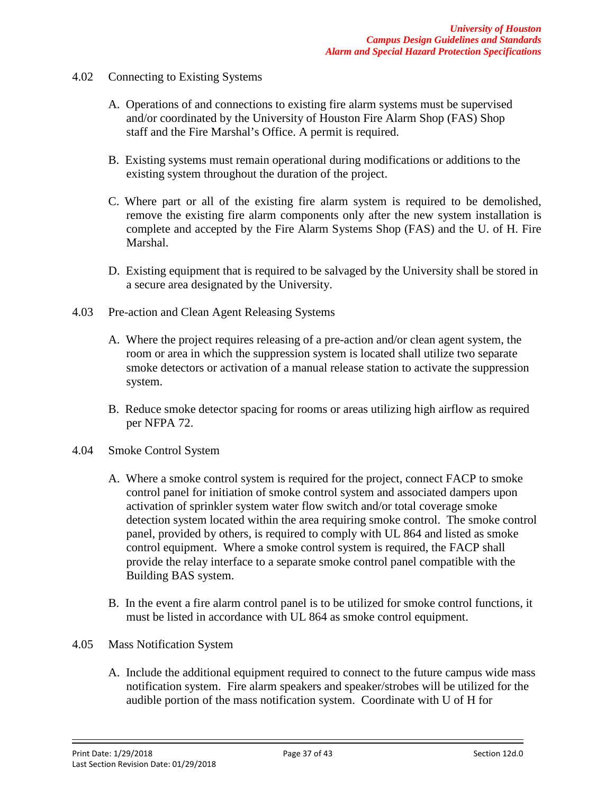- 4.02 Connecting to Existing Systems
	- A. Operations of and connections to existing fire alarm systems must be supervised and/or coordinated by the University of Houston Fire Alarm Shop (FAS) Shop staff and the Fire Marshal's Office. A permit is required.
	- B. Existing systems must remain operational during modifications or additions to the existing system throughout the duration of the project.
	- C. Where part or all of the existing fire alarm system is required to be demolished, remove the existing fire alarm components only after the new system installation is complete and accepted by the Fire Alarm Systems Shop (FAS) and the U. of H. Fire Marshal.
	- D. Existing equipment that is required to be salvaged by the University shall be stored in a secure area designated by the University.
- 4.03 Pre-action and Clean Agent Releasing Systems
	- A. Where the project requires releasing of a pre-action and/or clean agent system, the room or area in which the suppression system is located shall utilize two separate smoke detectors or activation of a manual release station to activate the suppression system.
	- B. Reduce smoke detector spacing for rooms or areas utilizing high airflow as required per NFPA 72.
- 4.04 Smoke Control System
	- A. Where a smoke control system is required for the project, connect FACP to smoke control panel for initiation of smoke control system and associated dampers upon activation of sprinkler system water flow switch and/or total coverage smoke detection system located within the area requiring smoke control. The smoke control panel, provided by others, is required to comply with UL 864 and listed as smoke control equipment. Where a smoke control system is required, the FACP shall provide the relay interface to a separate smoke control panel compatible with the Building BAS system.
	- B. In the event a fire alarm control panel is to be utilized for smoke control functions, it must be listed in accordance with UL 864 as smoke control equipment.
- 4.05 Mass Notification System
	- A. Include the additional equipment required to connect to the future campus wide mass notification system. Fire alarm speakers and speaker/strobes will be utilized for the audible portion of the mass notification system. Coordinate with U of H for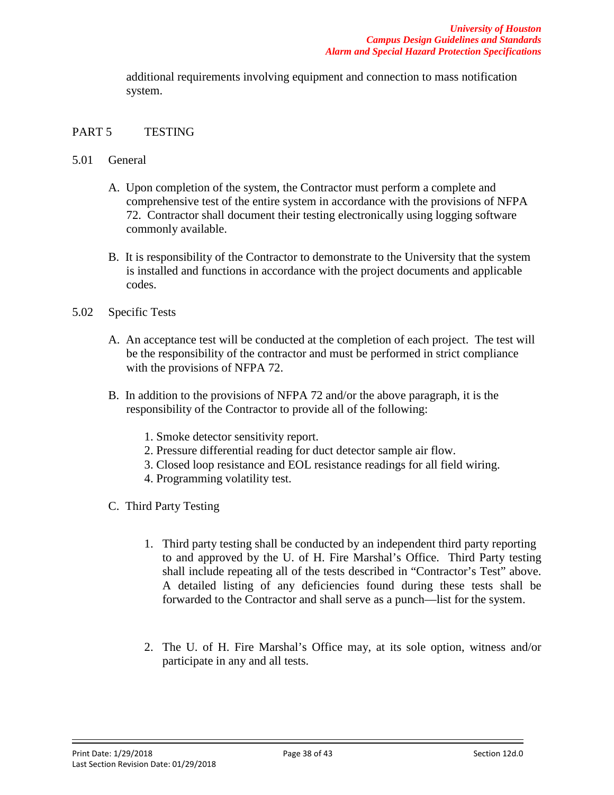additional requirements involving equipment and connection to mass notification system.

#### PART 5 TESTING

- 5.01 General
	- A. Upon completion of the system, the Contractor must perform a complete and comprehensive test of the entire system in accordance with the provisions of NFPA 72. Contractor shall document their testing electronically using logging software commonly available.
	- B. It is responsibility of the Contractor to demonstrate to the University that the system is installed and functions in accordance with the project documents and applicable codes.
- 5.02 Specific Tests
	- A. An acceptance test will be conducted at the completion of each project. The test will be the responsibility of the contractor and must be performed in strict compliance with the provisions of NFPA 72.
	- B. In addition to the provisions of NFPA 72 and/or the above paragraph, it is the responsibility of the Contractor to provide all of the following:
		- 1. Smoke detector sensitivity report.
		- 2. Pressure differential reading for duct detector sample air flow.
		- 3. Closed loop resistance and EOL resistance readings for all field wiring.
		- 4. Programming volatility test.
	- C. Third Party Testing
		- 1. Third party testing shall be conducted by an independent third party reporting to and approved by the U. of H. Fire Marshal's Office. Third Party testing shall include repeating all of the tests described in "Contractor's Test" above. A detailed listing of any deficiencies found during these tests shall be forwarded to the Contractor and shall serve as a punch—list for the system.
		- 2. The U. of H. Fire Marshal's Office may, at its sole option, witness and/or participate in any and all tests.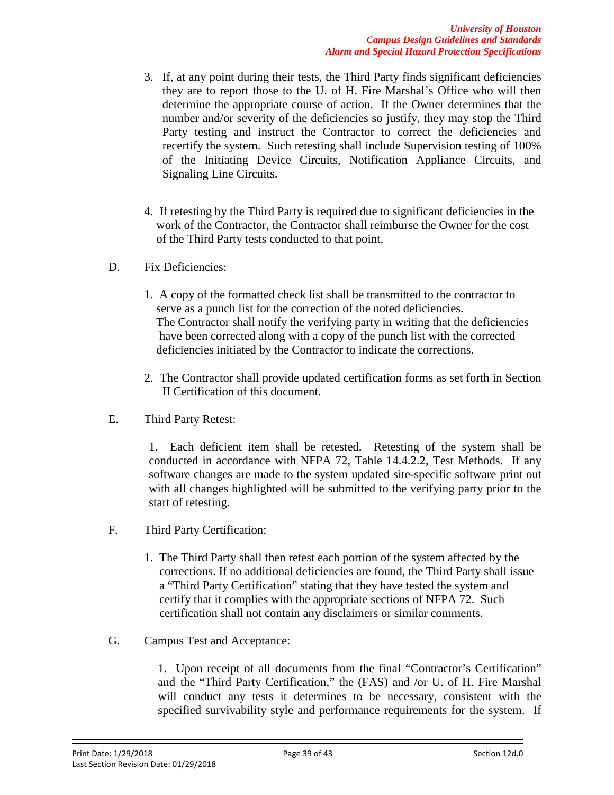- 3. If, at any point during their tests, the Third Party finds significant deficiencies they are to report those to the U. of H. Fire Marshal's Office who will then determine the appropriate course of action. If the Owner determines that the number and/or severity of the deficiencies so justify, they may stop the Third Party testing and instruct the Contractor to correct the deficiencies and recertify the system. Such retesting shall include Supervision testing of 100% of the Initiating Device Circuits, Notification Appliance Circuits, and Signaling Line Circuits.
- 4. If retesting by the Third Party is required due to significant deficiencies in the work of the Contractor, the Contractor shall reimburse the Owner for the cost of the Third Party tests conducted to that point.
- D. Fix Deficiencies:
	- 1. A copy of the formatted check list shall be transmitted to the contractor to serve as a punch list for the correction of the noted deficiencies. The Contractor shall notify the verifying party in writing that the deficiencies have been corrected along with a copy of the punch list with the corrected deficiencies initiated by the Contractor to indicate the corrections.
	- 2. The Contractor shall provide updated certification forms as set forth in Section II Certification of this document.
- E. Third Party Retest:

1. Each deficient item shall be retested. Retesting of the system shall be conducted in accordance with NFPA 72, Table 14.4.2.2, Test Methods. If any software changes are made to the system updated site-specific software print out with all changes highlighted will be submitted to the verifying party prior to the start of retesting.

- F. Third Party Certification:
	- 1. The Third Party shall then retest each portion of the system affected by the corrections. If no additional deficiencies are found, the Third Party shall issue a "Third Party Certification" stating that they have tested the system and certify that it complies with the appropriate sections of NFPA 72. Such certification shall not contain any disclaimers or similar comments.
- G. Campus Test and Acceptance:

1. Upon receipt of all documents from the final "Contractor's Certification" and the "Third Party Certification," the (FAS) and /or U. of H. Fire Marshal will conduct any tests it determines to be necessary, consistent with the specified survivability style and performance requirements for the system. If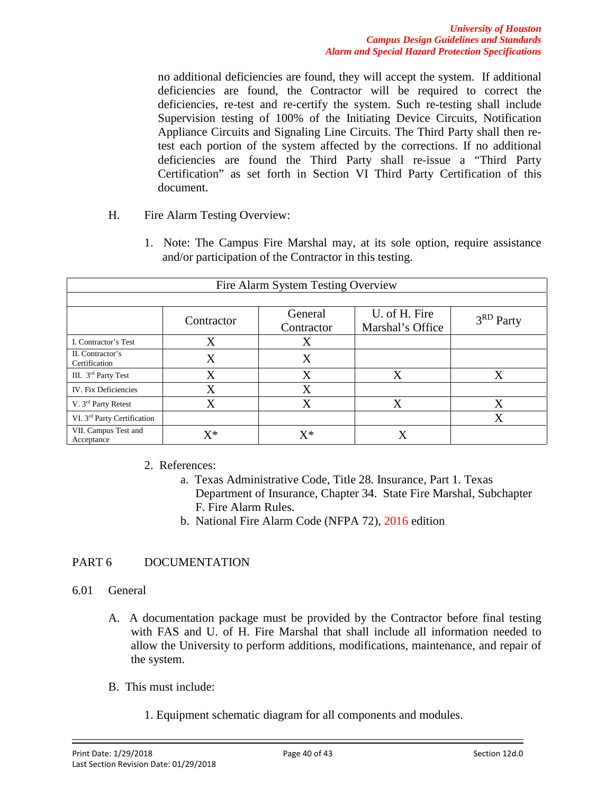no additional deficiencies are found, they will accept the system. If additional deficiencies are found, the Contractor will be required to correct the deficiencies, re-test and re-certify the system. Such re-testing shall include Supervision testing of 100% of the Initiating Device Circuits, Notification Appliance Circuits and Signaling Line Circuits. The Third Party shall then retest each portion of the system affected by the corrections. If no additional deficiencies are found the Third Party shall re-issue a "Third Party Certification" as set forth in Section VI Third Party Certification of this document.

- H. Fire Alarm Testing Overview:
	- 1. Note: The Campus Fire Marshal may, at its sole option, require assistance and/or participation of the Contractor in this testing.

| Fire Alarm System Testing Overview      |                   |                       |                                   |                       |
|-----------------------------------------|-------------------|-----------------------|-----------------------------------|-----------------------|
|                                         |                   |                       |                                   |                       |
|                                         | Contractor        | General<br>Contractor | U. of H. Fire<br>Marshal's Office | 3 <sup>RD</sup> Party |
| I. Contractor's Test                    | X                 | Χ                     |                                   |                       |
| II. Contractor's<br>Certification       | X                 | Χ                     |                                   |                       |
| III. 3 <sup>rd</sup> Party Test         | X                 | X                     | X                                 |                       |
| IV. Fix Deficiencies                    | X                 | X                     |                                   |                       |
| V. 3 <sup>rd</sup> Party Retest         | $\rm\overline{X}$ | X                     | X                                 | Χ                     |
| VI. 3 <sup>rd</sup> Party Certification |                   |                       |                                   |                       |
| VII. Campus Test and<br>Acceptance      | $\mathrm{X}^*$    | $\mathrm{X}^*$        | X                                 |                       |

2. References:

- a. Texas Administrative Code, Title 28. Insurance, Part 1. Texas Department of Insurance, Chapter 34. State Fire Marshal, Subchapter F. Fire Alarm Rules.
- b. National Fire Alarm Code (NFPA 72), 2016 edition

## PART 6 DOCUMENTATION

#### 6.01 General

- A. A documentation package must be provided by the Contractor before final testing with FAS and U. of H. Fire Marshal that shall include all information needed to allow the University to perform additions, modifications, maintenance, and repair of the system.
- B. This must include:
	- 1. Equipment schematic diagram for all components and modules.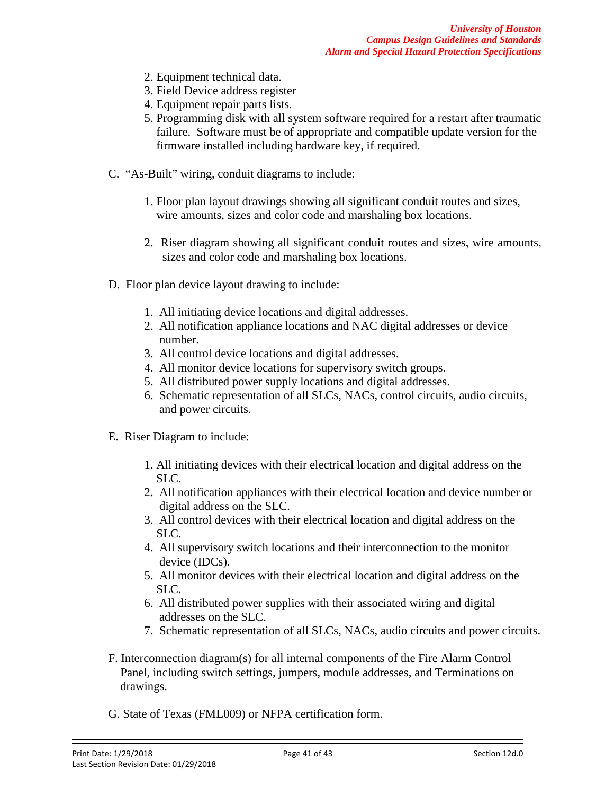- 2. Equipment technical data.
- 3. Field Device address register
- 4. Equipment repair parts lists.
- 5. Programming disk with all system software required for a restart after traumatic failure. Software must be of appropriate and compatible update version for the firmware installed including hardware key, if required.
- C. "As-Built" wiring, conduit diagrams to include:
	- 1. Floor plan layout drawings showing all significant conduit routes and sizes, wire amounts, sizes and color code and marshaling box locations.
	- 2. Riser diagram showing all significant conduit routes and sizes, wire amounts, sizes and color code and marshaling box locations.
- D. Floor plan device layout drawing to include:
	- 1. All initiating device locations and digital addresses.
	- 2. All notification appliance locations and NAC digital addresses or device number.
	- 3. All control device locations and digital addresses.
	- 4. All monitor device locations for supervisory switch groups.
	- 5. All distributed power supply locations and digital addresses.
	- 6. Schematic representation of all SLCs, NACs, control circuits, audio circuits, and power circuits.
- E. Riser Diagram to include:
	- 1. All initiating devices with their electrical location and digital address on the SLC.
	- 2. All notification appliances with their electrical location and device number or digital address on the SLC.
	- 3. All control devices with their electrical location and digital address on the SLC.
	- 4. All supervisory switch locations and their interconnection to the monitor device (IDCs).
	- 5. All monitor devices with their electrical location and digital address on the SLC.
	- 6. All distributed power supplies with their associated wiring and digital addresses on the SLC.
	- 7. Schematic representation of all SLCs, NACs, audio circuits and power circuits.
- F. Interconnection diagram(s) for all internal components of the Fire Alarm Control Panel, including switch settings, jumpers, module addresses, and Terminations on drawings.
- G. State of Texas (FML009) or NFPA certification form.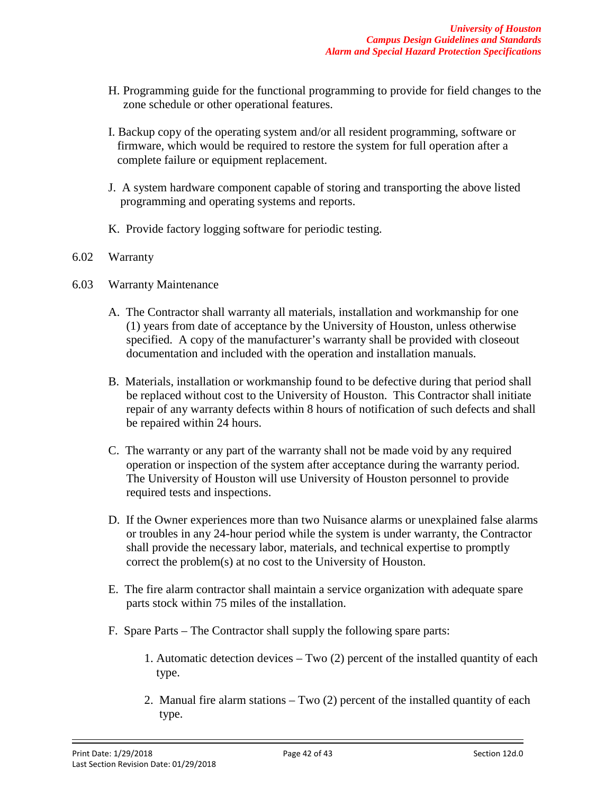- H. Programming guide for the functional programming to provide for field changes to the zone schedule or other operational features.
- I. Backup copy of the operating system and/or all resident programming, software or firmware, which would be required to restore the system for full operation after a complete failure or equipment replacement.
- J. A system hardware component capable of storing and transporting the above listed programming and operating systems and reports.
- K. Provide factory logging software for periodic testing.

#### 6.02 Warranty

- 6.03 Warranty Maintenance
	- A. The Contractor shall warranty all materials, installation and workmanship for one (1) years from date of acceptance by the University of Houston, unless otherwise specified. A copy of the manufacturer's warranty shall be provided with closeout documentation and included with the operation and installation manuals.
	- B. Materials, installation or workmanship found to be defective during that period shall be replaced without cost to the University of Houston. This Contractor shall initiate repair of any warranty defects within 8 hours of notification of such defects and shall be repaired within 24 hours.
	- C. The warranty or any part of the warranty shall not be made void by any required operation or inspection of the system after acceptance during the warranty period. The University of Houston will use University of Houston personnel to provide required tests and inspections.
	- D. If the Owner experiences more than two Nuisance alarms or unexplained false alarms or troubles in any 24-hour period while the system is under warranty, the Contractor shall provide the necessary labor, materials, and technical expertise to promptly correct the problem(s) at no cost to the University of Houston.
	- E. The fire alarm contractor shall maintain a service organization with adequate spare parts stock within 75 miles of the installation.
	- F. Spare Parts The Contractor shall supply the following spare parts:
		- 1. Automatic detection devices Two (2) percent of the installed quantity of each type.
		- 2. Manual fire alarm stations Two (2) percent of the installed quantity of each type.